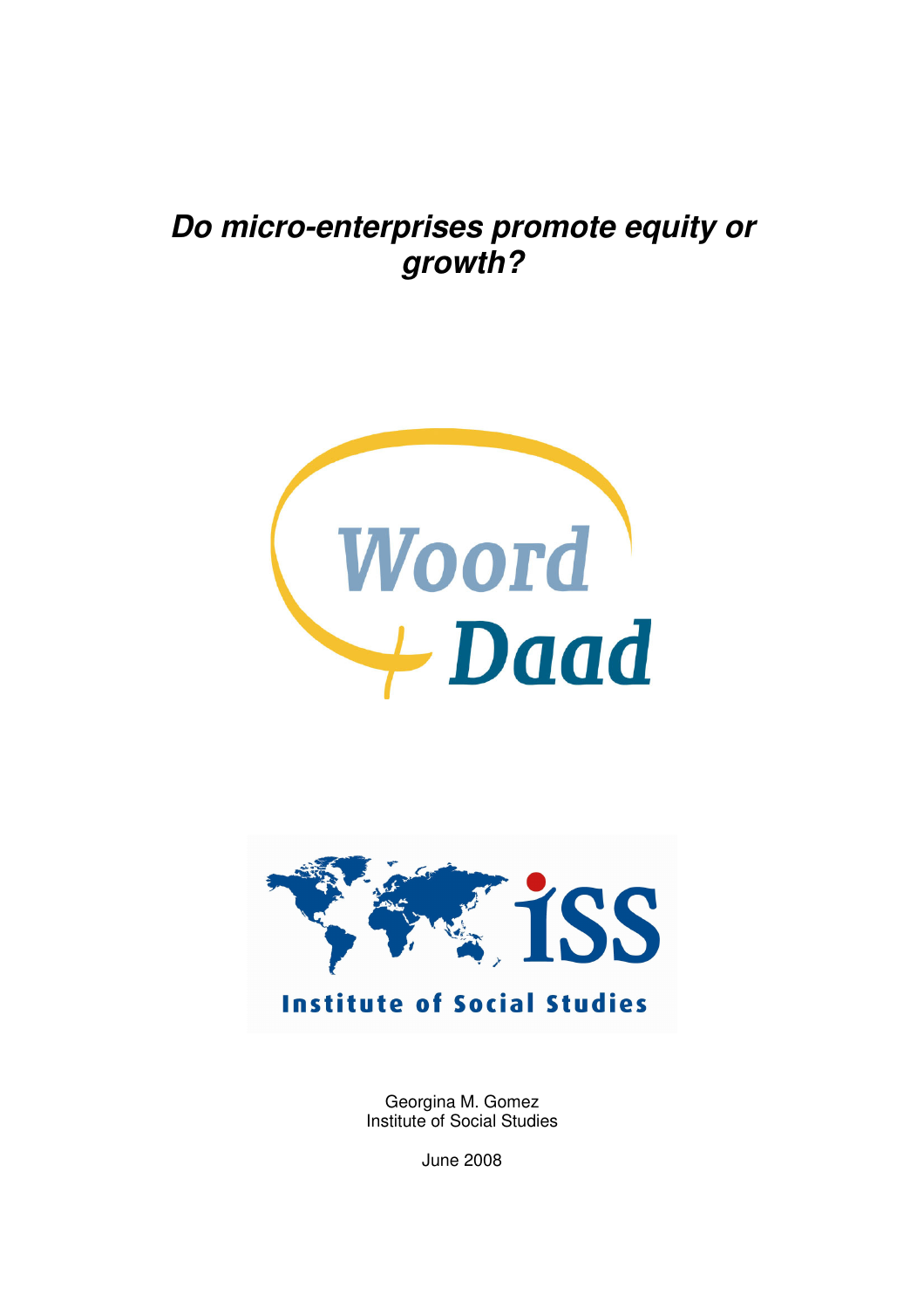# **Do micro-enterprises promote equity or growth?**





Georgina M. Gomez Institute of Social Studies

June 2008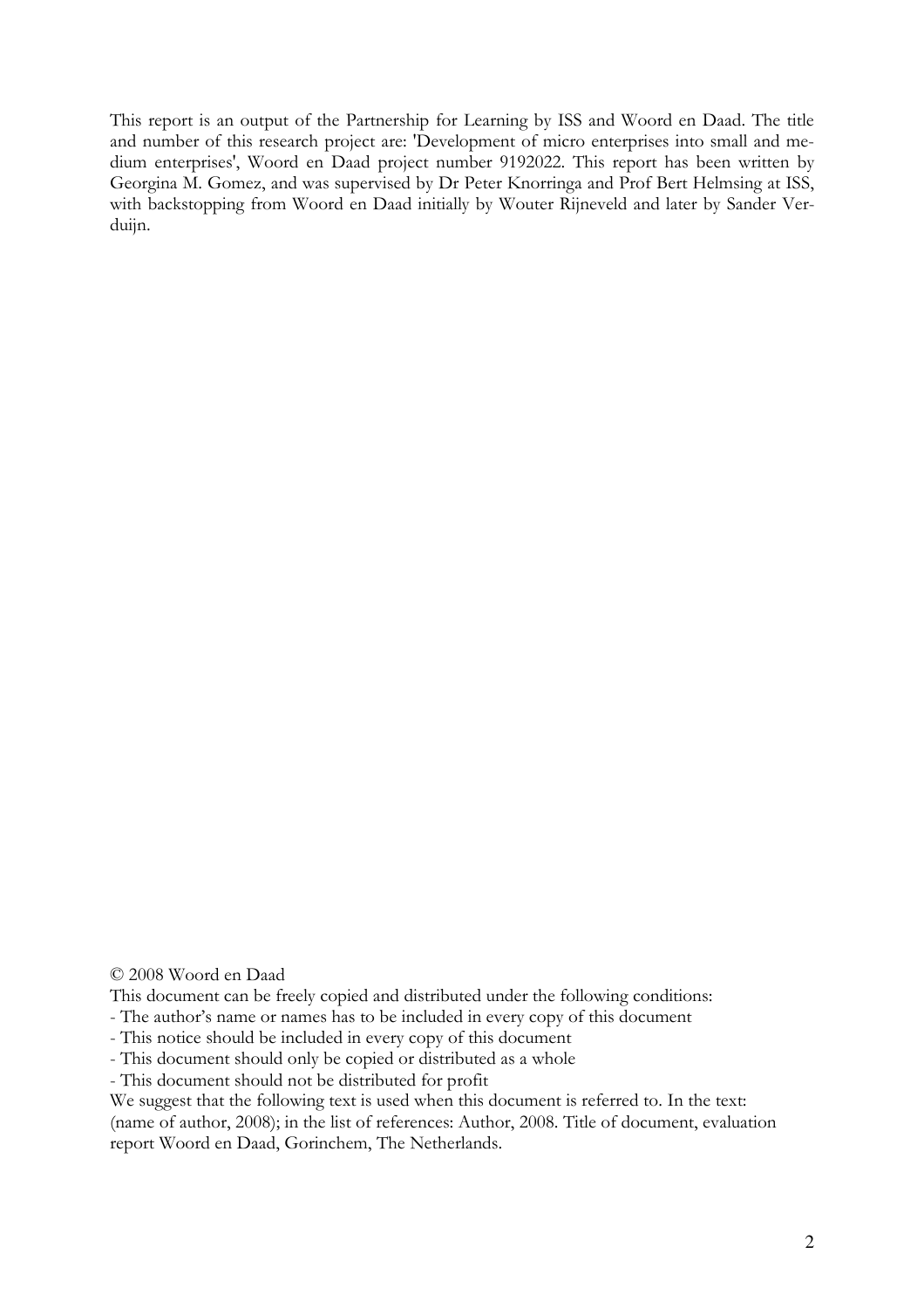This report is an output of the Partnership for Learning by ISS and Woord en Daad. The title and number of this research project are: 'Development of micro enterprises into small and medium enterprises', Woord en Daad project number 9192022. This report has been written by Georgina M. Gomez, and was supervised by Dr Peter Knorringa and Prof Bert Helmsing at ISS, with backstopping from Woord en Daad initially by Wouter Rijneveld and later by Sander Verduijn.

© 2008 Woord en Daad

This document can be freely copied and distributed under the following conditions:

- The author's name or names has to be included in every copy of this document

- This notice should be included in every copy of this document

- This document should only be copied or distributed as a whole

- This document should not be distributed for profit

We suggest that the following text is used when this document is referred to. In the text:

(name of author, 2008); in the list of references: Author, 2008. Title of document, evaluation report Woord en Daad, Gorinchem, The Netherlands.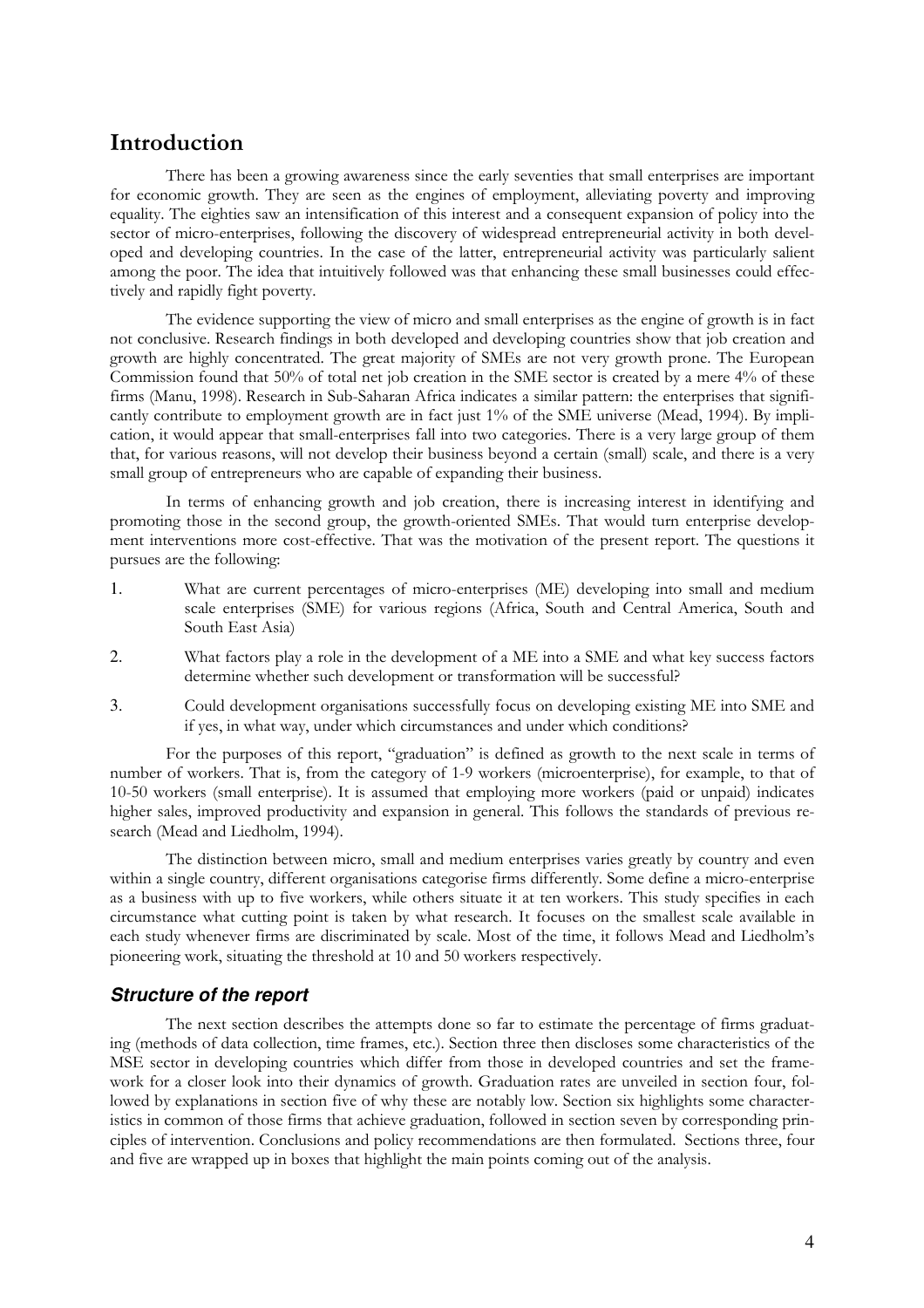## Introduction

There has been a growing awareness since the early seventies that small enterprises are important for economic growth. They are seen as the engines of employment, alleviating poverty and improving equality. The eighties saw an intensification of this interest and a consequent expansion of policy into the sector of micro-enterprises, following the discovery of widespread entrepreneurial activity in both developed and developing countries. In the case of the latter, entrepreneurial activity was particularly salient among the poor. The idea that intuitively followed was that enhancing these small businesses could effectively and rapidly fight poverty.

The evidence supporting the view of micro and small enterprises as the engine of growth is in fact not conclusive. Research findings in both developed and developing countries show that job creation and growth are highly concentrated. The great majority of SMEs are not very growth prone. The European Commission found that 50% of total net job creation in the SME sector is created by a mere 4% of these firms (Manu, 1998). Research in Sub-Saharan Africa indicates a similar pattern: the enterprises that significantly contribute to employment growth are in fact just 1% of the SME universe (Mead, 1994). By implication, it would appear that small-enterprises fall into two categories. There is a very large group of them that, for various reasons, will not develop their business beyond a certain (small) scale, and there is a very small group of entrepreneurs who are capable of expanding their business.

In terms of enhancing growth and job creation, there is increasing interest in identifying and promoting those in the second group, the growth-oriented SMEs. That would turn enterprise development interventions more cost-effective. That was the motivation of the present report. The questions it pursues are the following:

- 1. What are current percentages of micro-enterprises (ME) developing into small and medium scale enterprises (SME) for various regions (Africa, South and Central America, South and South East Asia)
- 2. What factors play a role in the development of a ME into a SME and what key success factors determine whether such development or transformation will be successful?
- 3. Could development organisations successfully focus on developing existing ME into SME and if yes, in what way, under which circumstances and under which conditions?

For the purposes of this report, "graduation" is defined as growth to the next scale in terms of number of workers. That is, from the category of 1-9 workers (microenterprise), for example, to that of 10-50 workers (small enterprise). It is assumed that employing more workers (paid or unpaid) indicates higher sales, improved productivity and expansion in general. This follows the standards of previous research (Mead and Liedholm, 1994).

The distinction between micro, small and medium enterprises varies greatly by country and even within a single country, different organisations categorise firms differently. Some define a micro-enterprise as a business with up to five workers, while others situate it at ten workers. This study specifies in each circumstance what cutting point is taken by what research. It focuses on the smallest scale available in each study whenever firms are discriminated by scale. Most of the time, it follows Mead and Liedholm's pioneering work, situating the threshold at 10 and 50 workers respectively.

#### **Structure of the report**

The next section describes the attempts done so far to estimate the percentage of firms graduating (methods of data collection, time frames, etc.). Section three then discloses some characteristics of the MSE sector in developing countries which differ from those in developed countries and set the framework for a closer look into their dynamics of growth. Graduation rates are unveiled in section four, followed by explanations in section five of why these are notably low. Section six highlights some characteristics in common of those firms that achieve graduation, followed in section seven by corresponding principles of intervention. Conclusions and policy recommendations are then formulated. Sections three, four and five are wrapped up in boxes that highlight the main points coming out of the analysis.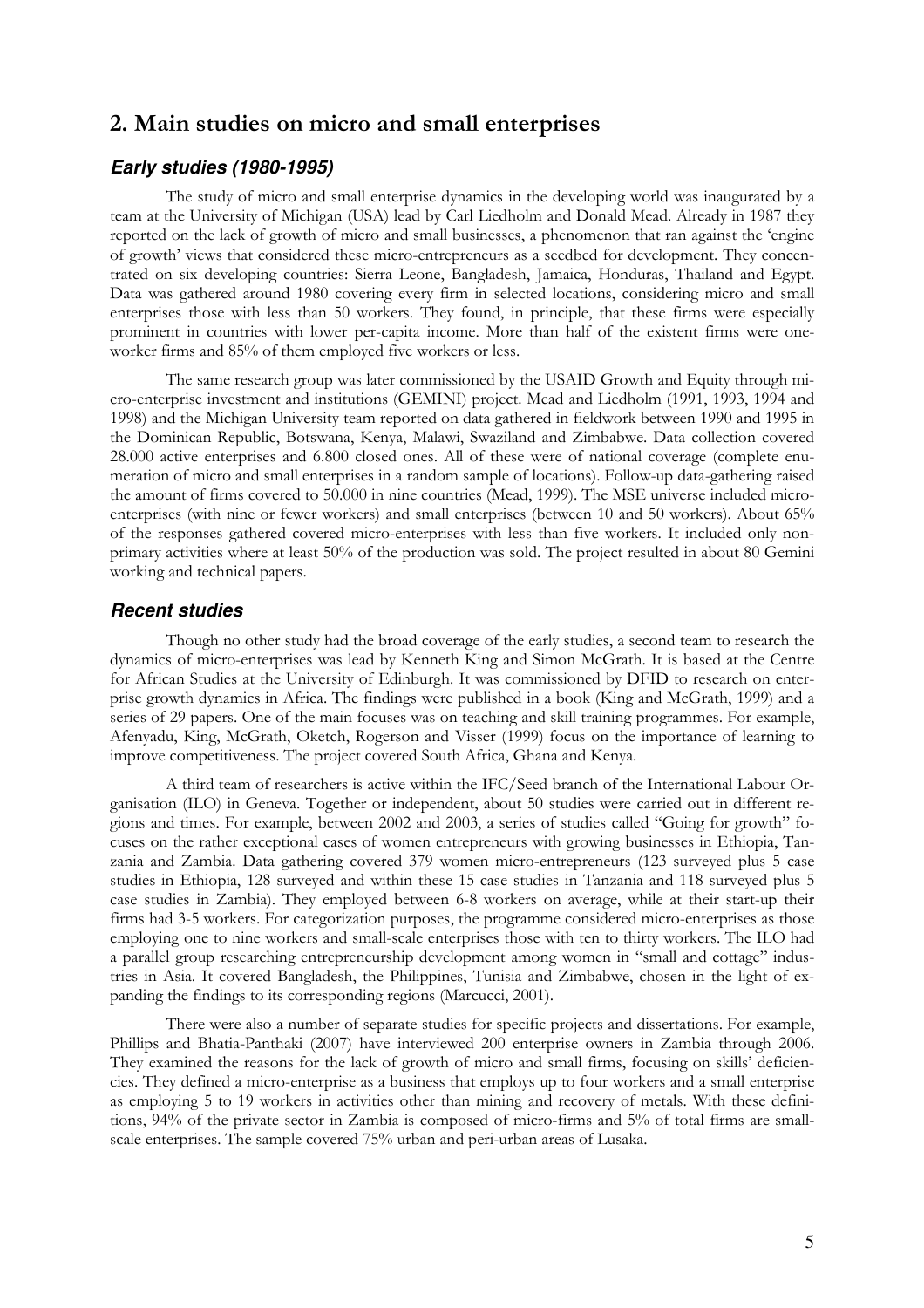# 2. Main studies on micro and small enterprises

#### **Early studies (1980-1995)**

The study of micro and small enterprise dynamics in the developing world was inaugurated by a team at the University of Michigan (USA) lead by Carl Liedholm and Donald Mead. Already in 1987 they reported on the lack of growth of micro and small businesses, a phenomenon that ran against the 'engine of growth' views that considered these micro-entrepreneurs as a seedbed for development. They concentrated on six developing countries: Sierra Leone, Bangladesh, Jamaica, Honduras, Thailand and Egypt. Data was gathered around 1980 covering every firm in selected locations, considering micro and small enterprises those with less than 50 workers. They found, in principle, that these firms were especially prominent in countries with lower per-capita income. More than half of the existent firms were oneworker firms and 85% of them employed five workers or less.

The same research group was later commissioned by the USAID Growth and Equity through micro-enterprise investment and institutions (GEMINI) project. Mead and Liedholm (1991, 1993, 1994 and 1998) and the Michigan University team reported on data gathered in fieldwork between 1990 and 1995 in the Dominican Republic, Botswana, Kenya, Malawi, Swaziland and Zimbabwe. Data collection covered 28.000 active enterprises and 6.800 closed ones. All of these were of national coverage (complete enumeration of micro and small enterprises in a random sample of locations). Follow-up data-gathering raised the amount of firms covered to 50.000 in nine countries (Mead, 1999). The MSE universe included microenterprises (with nine or fewer workers) and small enterprises (between 10 and 50 workers). About 65% of the responses gathered covered micro-enterprises with less than five workers. It included only nonprimary activities where at least 50% of the production was sold. The project resulted in about 80 Gemini working and technical papers.

#### **Recent studies**

Though no other study had the broad coverage of the early studies, a second team to research the dynamics of micro-enterprises was lead by Kenneth King and Simon McGrath. It is based at the Centre for African Studies at the University of Edinburgh. It was commissioned by DFID to research on enterprise growth dynamics in Africa. The findings were published in a book (King and McGrath, 1999) and a series of 29 papers. One of the main focuses was on teaching and skill training programmes. For example, Afenyadu, King, McGrath, Oketch, Rogerson and Visser (1999) focus on the importance of learning to improve competitiveness. The project covered South Africa, Ghana and Kenya.

A third team of researchers is active within the IFC/Seed branch of the International Labour Organisation (ILO) in Geneva. Together or independent, about 50 studies were carried out in different regions and times. For example, between 2002 and 2003, a series of studies called "Going for growth" focuses on the rather exceptional cases of women entrepreneurs with growing businesses in Ethiopia, Tanzania and Zambia. Data gathering covered 379 women micro-entrepreneurs (123 surveyed plus 5 case studies in Ethiopia, 128 surveyed and within these 15 case studies in Tanzania and 118 surveyed plus 5 case studies in Zambia). They employed between 6-8 workers on average, while at their start-up their firms had 3-5 workers. For categorization purposes, the programme considered micro-enterprises as those employing one to nine workers and small-scale enterprises those with ten to thirty workers. The ILO had a parallel group researching entrepreneurship development among women in "small and cottage" industries in Asia. It covered Bangladesh, the Philippines, Tunisia and Zimbabwe, chosen in the light of expanding the findings to its corresponding regions (Marcucci, 2001).

There were also a number of separate studies for specific projects and dissertations. For example, Phillips and Bhatia-Panthaki (2007) have interviewed 200 enterprise owners in Zambia through 2006. They examined the reasons for the lack of growth of micro and small firms, focusing on skills' deficiencies. They defined a micro-enterprise as a business that employs up to four workers and a small enterprise as employing 5 to 19 workers in activities other than mining and recovery of metals. With these definitions, 94% of the private sector in Zambia is composed of micro-firms and 5% of total firms are smallscale enterprises. The sample covered 75% urban and peri-urban areas of Lusaka.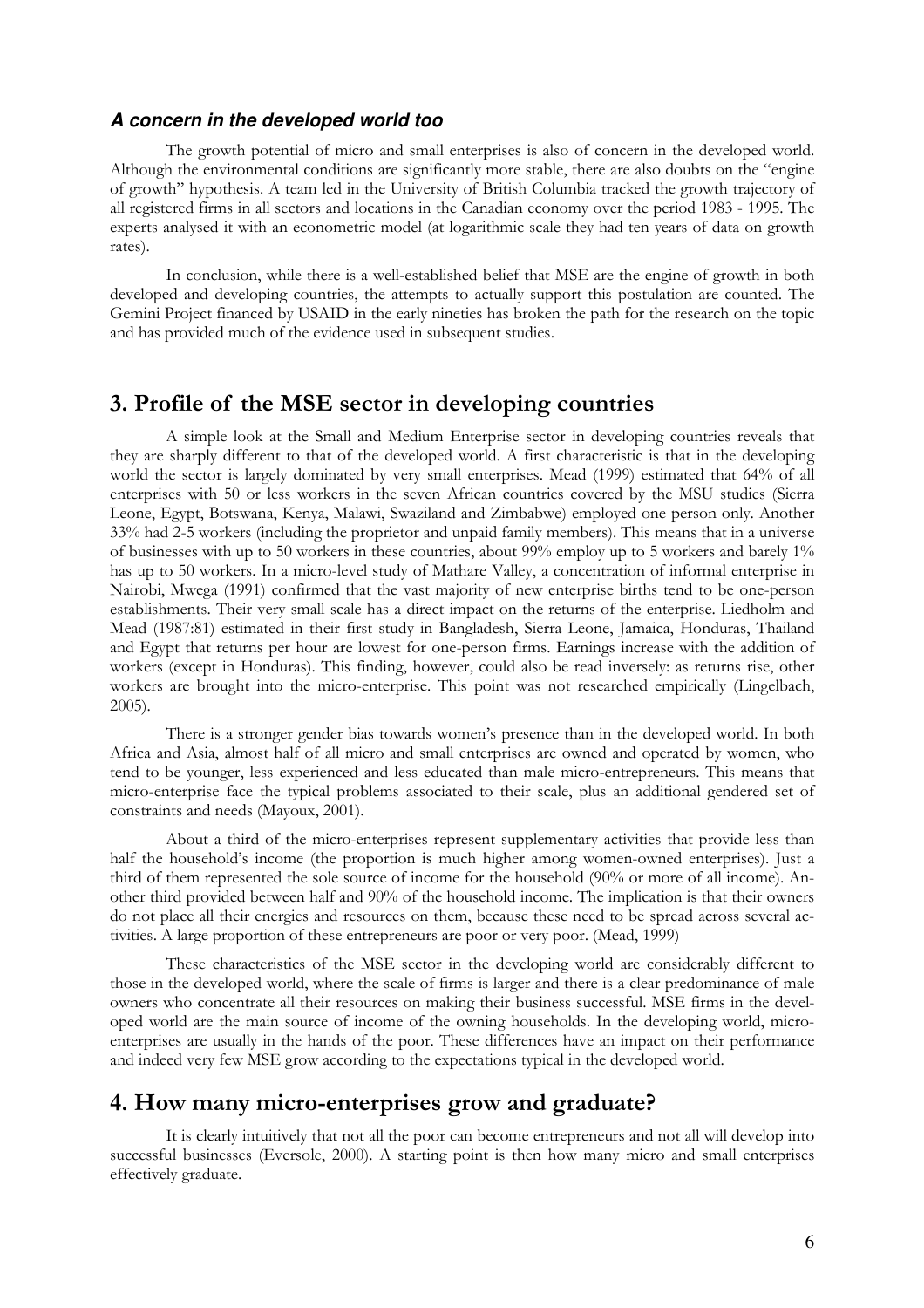#### **A concern in the developed world too**

The growth potential of micro and small enterprises is also of concern in the developed world. Although the environmental conditions are significantly more stable, there are also doubts on the "engine of growth" hypothesis. A team led in the University of British Columbia tracked the growth trajectory of all registered firms in all sectors and locations in the Canadian economy over the period 1983 - 1995. The experts analysed it with an econometric model (at logarithmic scale they had ten years of data on growth rates).

In conclusion, while there is a well-established belief that MSE are the engine of growth in both developed and developing countries, the attempts to actually support this postulation are counted. The Gemini Project financed by USAID in the early nineties has broken the path for the research on the topic and has provided much of the evidence used in subsequent studies.

### 3. Profile of the MSE sector in developing countries

A simple look at the Small and Medium Enterprise sector in developing countries reveals that they are sharply different to that of the developed world. A first characteristic is that in the developing world the sector is largely dominated by very small enterprises. Mead (1999) estimated that 64% of all enterprises with 50 or less workers in the seven African countries covered by the MSU studies (Sierra Leone, Egypt, Botswana, Kenya, Malawi, Swaziland and Zimbabwe) employed one person only. Another 33% had 2-5 workers (including the proprietor and unpaid family members). This means that in a universe of businesses with up to 50 workers in these countries, about 99% employ up to 5 workers and barely 1% has up to 50 workers. In a micro-level study of Mathare Valley, a concentration of informal enterprise in Nairobi, Mwega (1991) confirmed that the vast majority of new enterprise births tend to be one-person establishments. Their very small scale has a direct impact on the returns of the enterprise. Liedholm and Mead (1987:81) estimated in their first study in Bangladesh, Sierra Leone, Jamaica, Honduras, Thailand and Egypt that returns per hour are lowest for one-person firms. Earnings increase with the addition of workers (except in Honduras). This finding, however, could also be read inversely: as returns rise, other workers are brought into the micro-enterprise. This point was not researched empirically (Lingelbach, 2005).

There is a stronger gender bias towards women's presence than in the developed world. In both Africa and Asia, almost half of all micro and small enterprises are owned and operated by women, who tend to be younger, less experienced and less educated than male micro-entrepreneurs. This means that micro-enterprise face the typical problems associated to their scale, plus an additional gendered set of constraints and needs (Mayoux, 2001).

About a third of the micro-enterprises represent supplementary activities that provide less than half the household's income (the proportion is much higher among women-owned enterprises). Just a third of them represented the sole source of income for the household (90% or more of all income). Another third provided between half and 90% of the household income. The implication is that their owners do not place all their energies and resources on them, because these need to be spread across several activities. A large proportion of these entrepreneurs are poor or very poor. (Mead, 1999)

These characteristics of the MSE sector in the developing world are considerably different to those in the developed world, where the scale of firms is larger and there is a clear predominance of male owners who concentrate all their resources on making their business successful. MSE firms in the developed world are the main source of income of the owning households. In the developing world, microenterprises are usually in the hands of the poor. These differences have an impact on their performance and indeed very few MSE grow according to the expectations typical in the developed world.

# 4. How many micro-enterprises grow and graduate?

It is clearly intuitively that not all the poor can become entrepreneurs and not all will develop into successful businesses (Eversole, 2000). A starting point is then how many micro and small enterprises effectively graduate.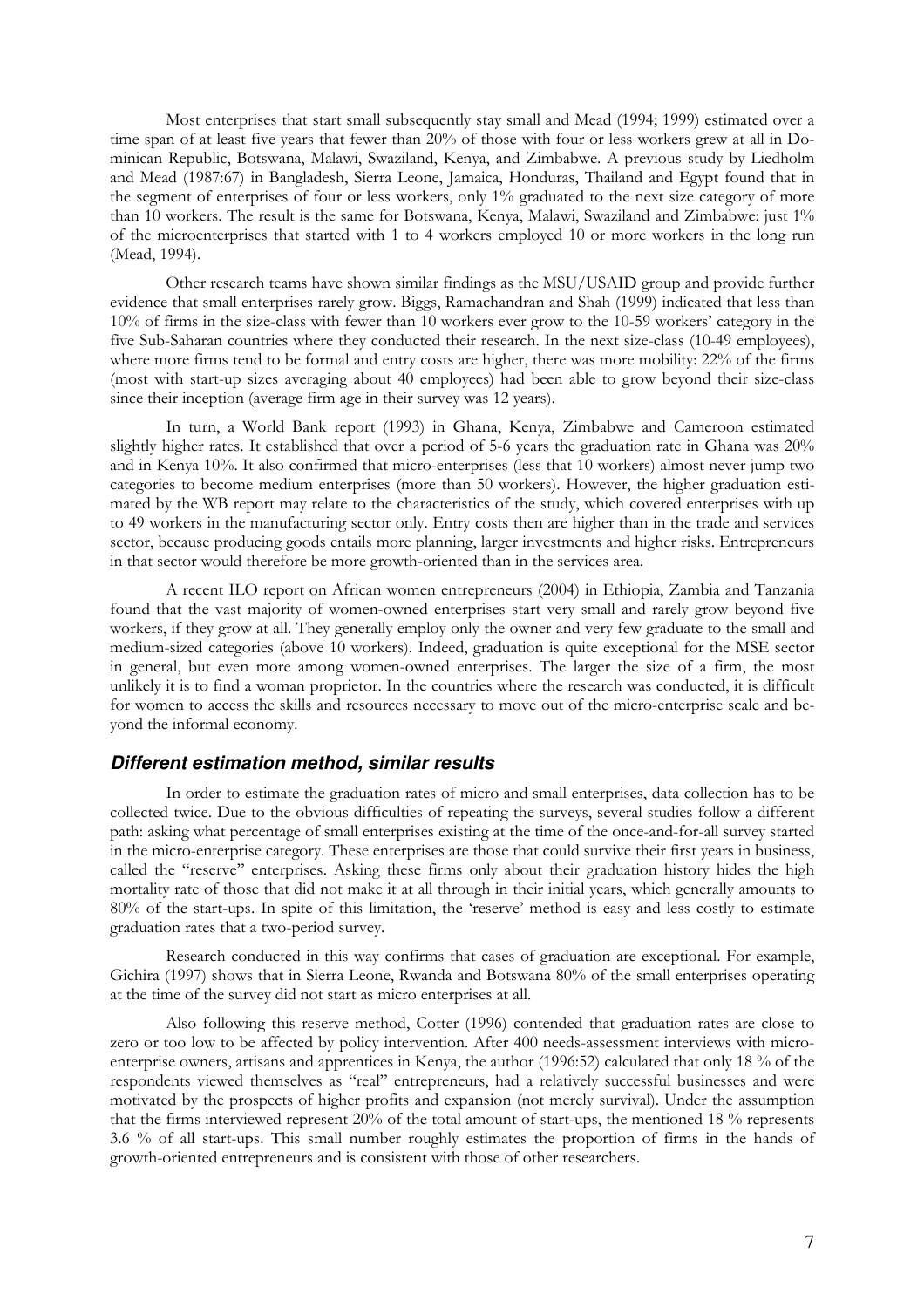Most enterprises that start small subsequently stay small and Mead (1994; 1999) estimated over a time span of at least five years that fewer than 20% of those with four or less workers grew at all in Dominican Republic, Botswana, Malawi, Swaziland, Kenya, and Zimbabwe. A previous study by Liedholm and Mead (1987:67) in Bangladesh, Sierra Leone, Jamaica, Honduras, Thailand and Egypt found that in the segment of enterprises of four or less workers, only 1% graduated to the next size category of more than 10 workers. The result is the same for Botswana, Kenya, Malawi, Swaziland and Zimbabwe: just 1% of the microenterprises that started with 1 to 4 workers employed 10 or more workers in the long run (Mead, 1994).

Other research teams have shown similar findings as the MSU/USAID group and provide further evidence that small enterprises rarely grow. Biggs, Ramachandran and Shah (1999) indicated that less than 10% of firms in the size-class with fewer than 10 workers ever grow to the 10-59 workers' category in the five Sub-Saharan countries where they conducted their research. In the next size-class (10-49 employees), where more firms tend to be formal and entry costs are higher, there was more mobility: 22% of the firms (most with start-up sizes averaging about 40 employees) had been able to grow beyond their size-class since their inception (average firm age in their survey was 12 years).

In turn, a World Bank report (1993) in Ghana, Kenya, Zimbabwe and Cameroon estimated slightly higher rates. It established that over a period of 5-6 years the graduation rate in Ghana was 20% and in Kenya 10%. It also confirmed that micro-enterprises (less that 10 workers) almost never jump two categories to become medium enterprises (more than 50 workers). However, the higher graduation estimated by the WB report may relate to the characteristics of the study, which covered enterprises with up to 49 workers in the manufacturing sector only. Entry costs then are higher than in the trade and services sector, because producing goods entails more planning, larger investments and higher risks. Entrepreneurs in that sector would therefore be more growth-oriented than in the services area.

A recent ILO report on African women entrepreneurs (2004) in Ethiopia, Zambia and Tanzania found that the vast majority of women-owned enterprises start very small and rarely grow beyond five workers, if they grow at all. They generally employ only the owner and very few graduate to the small and medium-sized categories (above 10 workers). Indeed, graduation is quite exceptional for the MSE sector in general, but even more among women-owned enterprises. The larger the size of a firm, the most unlikely it is to find a woman proprietor. In the countries where the research was conducted, it is difficult for women to access the skills and resources necessary to move out of the micro-enterprise scale and beyond the informal economy.

#### **Different estimation method, similar results**

In order to estimate the graduation rates of micro and small enterprises, data collection has to be collected twice. Due to the obvious difficulties of repeating the surveys, several studies follow a different path: asking what percentage of small enterprises existing at the time of the once-and-for-all survey started in the micro-enterprise category. These enterprises are those that could survive their first years in business, called the "reserve" enterprises. Asking these firms only about their graduation history hides the high mortality rate of those that did not make it at all through in their initial years, which generally amounts to 80% of the start-ups. In spite of this limitation, the 'reserve' method is easy and less costly to estimate graduation rates that a two-period survey.

Research conducted in this way confirms that cases of graduation are exceptional. For example, Gichira (1997) shows that in Sierra Leone, Rwanda and Botswana 80% of the small enterprises operating at the time of the survey did not start as micro enterprises at all.

Also following this reserve method, Cotter (1996) contended that graduation rates are close to zero or too low to be affected by policy intervention. After 400 needs-assessment interviews with microenterprise owners, artisans and apprentices in Kenya, the author (1996:52) calculated that only 18 % of the respondents viewed themselves as "real" entrepreneurs, had a relatively successful businesses and were motivated by the prospects of higher profits and expansion (not merely survival). Under the assumption that the firms interviewed represent 20% of the total amount of start-ups, the mentioned 18 % represents 3.6 % of all start-ups. This small number roughly estimates the proportion of firms in the hands of growth-oriented entrepreneurs and is consistent with those of other researchers.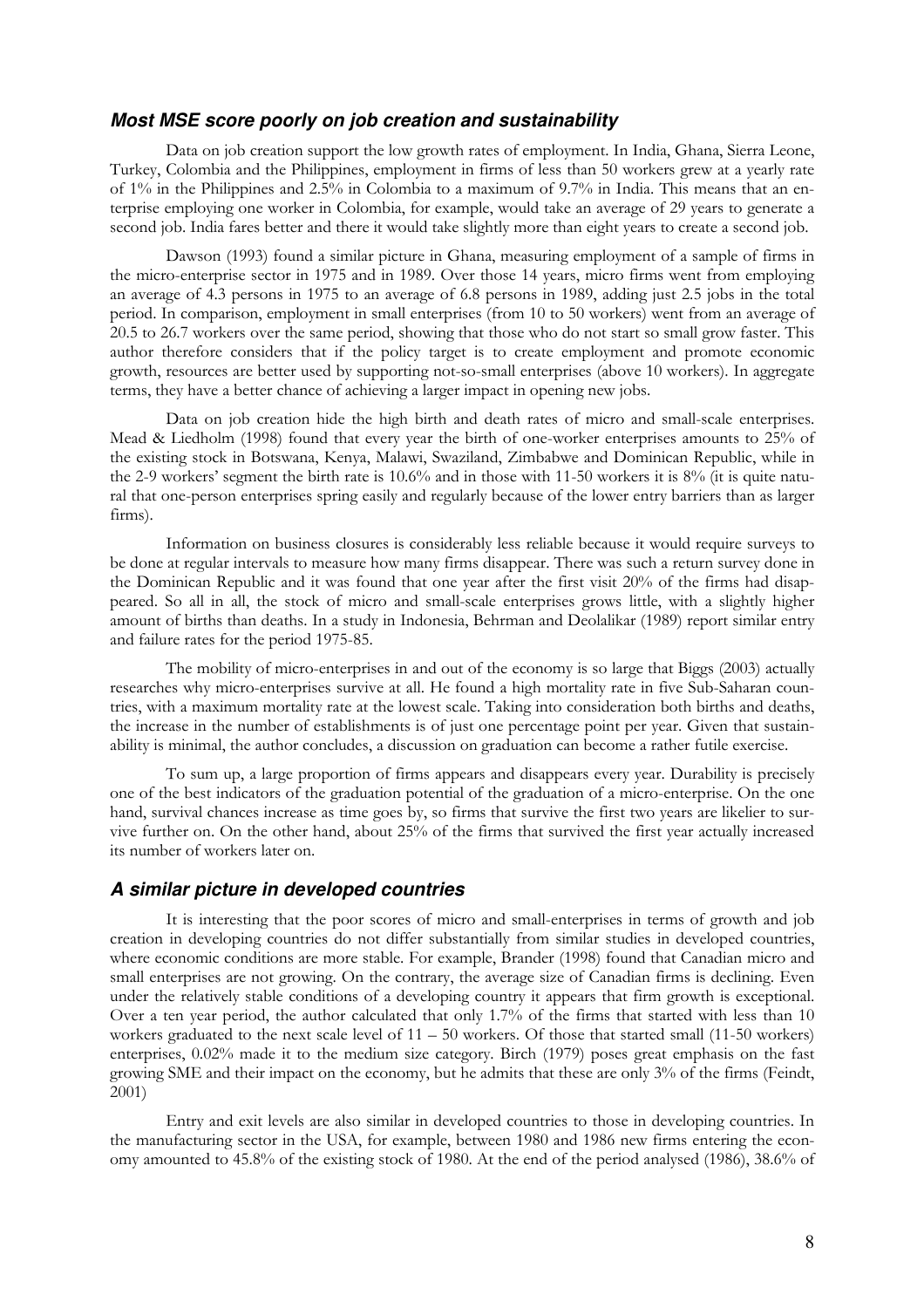#### **Most MSE score poorly on job creation and sustainability**

Data on job creation support the low growth rates of employment. In India, Ghana, Sierra Leone, Turkey, Colombia and the Philippines, employment in firms of less than 50 workers grew at a yearly rate of 1% in the Philippines and 2.5% in Colombia to a maximum of 9.7% in India. This means that an enterprise employing one worker in Colombia, for example, would take an average of 29 years to generate a second job. India fares better and there it would take slightly more than eight years to create a second job.

Dawson (1993) found a similar picture in Ghana, measuring employment of a sample of firms in the micro-enterprise sector in 1975 and in 1989. Over those 14 years, micro firms went from employing an average of 4.3 persons in 1975 to an average of 6.8 persons in 1989, adding just 2.5 jobs in the total period. In comparison, employment in small enterprises (from 10 to 50 workers) went from an average of 20.5 to 26.7 workers over the same period, showing that those who do not start so small grow faster. This author therefore considers that if the policy target is to create employment and promote economic growth, resources are better used by supporting not-so-small enterprises (above 10 workers). In aggregate terms, they have a better chance of achieving a larger impact in opening new jobs.

Data on job creation hide the high birth and death rates of micro and small-scale enterprises. Mead & Liedholm (1998) found that every year the birth of one-worker enterprises amounts to 25% of the existing stock in Botswana, Kenya, Malawi, Swaziland, Zimbabwe and Dominican Republic, while in the 2-9 workers' segment the birth rate is 10.6% and in those with 11-50 workers it is 8% (it is quite natural that one-person enterprises spring easily and regularly because of the lower entry barriers than as larger firms).

Information on business closures is considerably less reliable because it would require surveys to be done at regular intervals to measure how many firms disappear. There was such a return survey done in the Dominican Republic and it was found that one year after the first visit 20% of the firms had disappeared. So all in all, the stock of micro and small-scale enterprises grows little, with a slightly higher amount of births than deaths. In a study in Indonesia, Behrman and Deolalikar (1989) report similar entry and failure rates for the period 1975-85.

The mobility of micro-enterprises in and out of the economy is so large that Biggs (2003) actually researches why micro-enterprises survive at all. He found a high mortality rate in five Sub-Saharan countries, with a maximum mortality rate at the lowest scale. Taking into consideration both births and deaths, the increase in the number of establishments is of just one percentage point per year. Given that sustainability is minimal, the author concludes, a discussion on graduation can become a rather futile exercise.

To sum up, a large proportion of firms appears and disappears every year. Durability is precisely one of the best indicators of the graduation potential of the graduation of a micro-enterprise. On the one hand, survival chances increase as time goes by, so firms that survive the first two years are likelier to survive further on. On the other hand, about 25% of the firms that survived the first year actually increased its number of workers later on.

#### **A similar picture in developed countries**

It is interesting that the poor scores of micro and small-enterprises in terms of growth and job creation in developing countries do not differ substantially from similar studies in developed countries, where economic conditions are more stable. For example, Brander (1998) found that Canadian micro and small enterprises are not growing. On the contrary, the average size of Canadian firms is declining. Even under the relatively stable conditions of a developing country it appears that firm growth is exceptional. Over a ten year period, the author calculated that only 1.7% of the firms that started with less than 10 workers graduated to the next scale level of  $11 - 50$  workers. Of those that started small (11-50 workers) enterprises, 0.02% made it to the medium size category. Birch (1979) poses great emphasis on the fast growing SME and their impact on the economy, but he admits that these are only 3% of the firms (Feindt, 2001)

Entry and exit levels are also similar in developed countries to those in developing countries. In the manufacturing sector in the USA, for example, between 1980 and 1986 new firms entering the economy amounted to 45.8% of the existing stock of 1980. At the end of the period analysed (1986), 38.6% of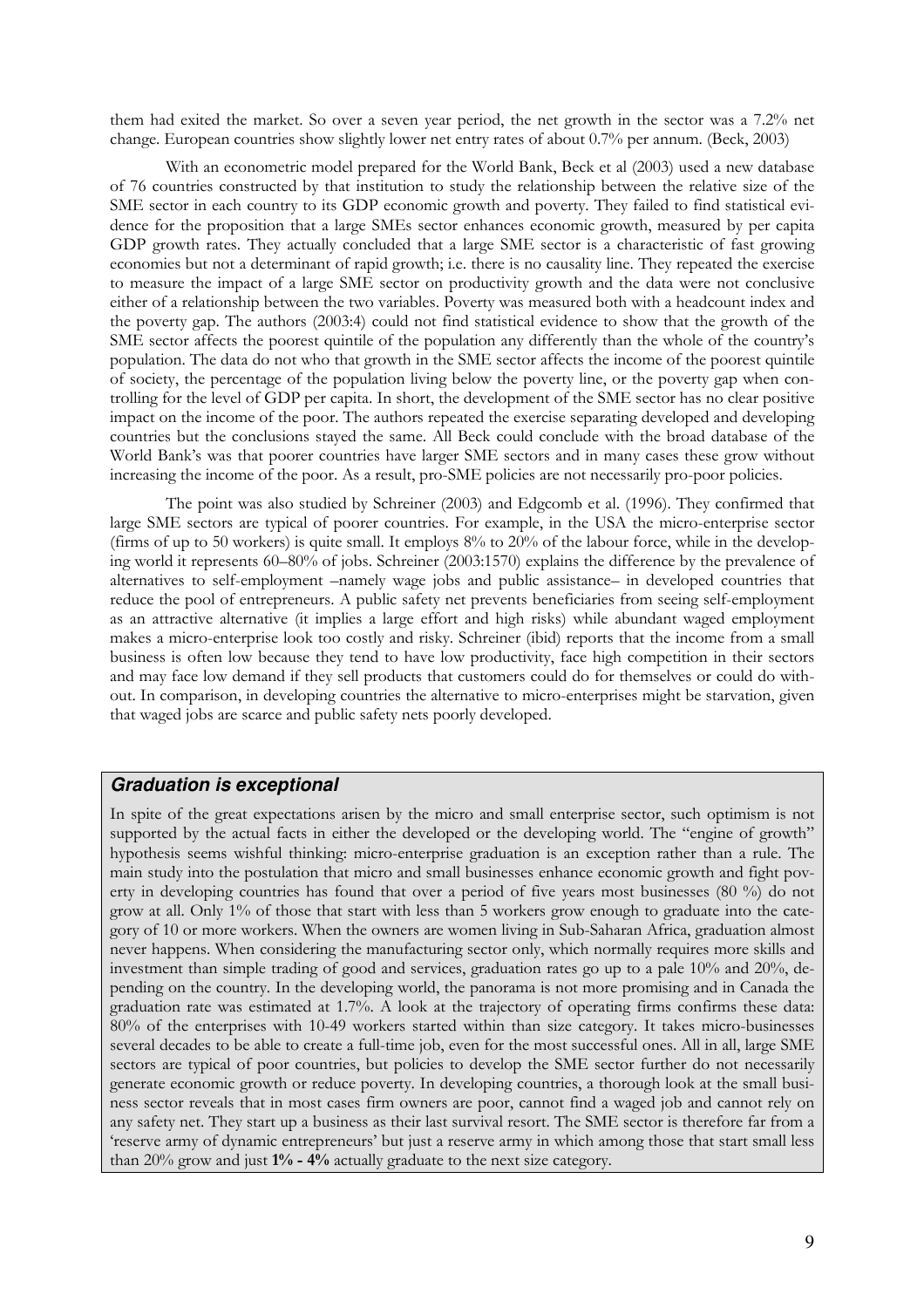them had exited the market. So over a seven year period, the net growth in the sector was a 7.2% net change. European countries show slightly lower net entry rates of about 0.7% per annum. (Beck, 2003)

With an econometric model prepared for the World Bank, Beck et al (2003) used a new database of 76 countries constructed by that institution to study the relationship between the relative size of the SME sector in each country to its GDP economic growth and poverty. They failed to find statistical evidence for the proposition that a large SMEs sector enhances economic growth, measured by per capita GDP growth rates. They actually concluded that a large SME sector is a characteristic of fast growing economies but not a determinant of rapid growth; i.e. there is no causality line. They repeated the exercise to measure the impact of a large SME sector on productivity growth and the data were not conclusive either of a relationship between the two variables. Poverty was measured both with a headcount index and the poverty gap. The authors (2003:4) could not find statistical evidence to show that the growth of the SME sector affects the poorest quintile of the population any differently than the whole of the country's population. The data do not who that growth in the SME sector affects the income of the poorest quintile of society, the percentage of the population living below the poverty line, or the poverty gap when controlling for the level of GDP per capita. In short, the development of the SME sector has no clear positive impact on the income of the poor. The authors repeated the exercise separating developed and developing countries but the conclusions stayed the same. All Beck could conclude with the broad database of the World Bank's was that poorer countries have larger SME sectors and in many cases these grow without increasing the income of the poor. As a result, pro-SME policies are not necessarily pro-poor policies.

The point was also studied by Schreiner (2003) and Edgcomb et al. (1996). They confirmed that large SME sectors are typical of poorer countries. For example, in the USA the micro-enterprise sector (firms of up to 50 workers) is quite small. It employs  $8\%$  to  $20\%$  of the labour force, while in the developing world it represents 60–80% of jobs. Schreiner (2003:1570) explains the difference by the prevalence of alternatives to self-employment –namely wage jobs and public assistance– in developed countries that reduce the pool of entrepreneurs. A public safety net prevents beneficiaries from seeing self-employment as an attractive alternative (it implies a large effort and high risks) while abundant waged employment makes a micro-enterprise look too costly and risky. Schreiner (ibid) reports that the income from a small business is often low because they tend to have low productivity, face high competition in their sectors and may face low demand if they sell products that customers could do for themselves or could do without. In comparison, in developing countries the alternative to micro-enterprises might be starvation, given that waged jobs are scarce and public safety nets poorly developed.

### **Graduation is exceptional**

In spite of the great expectations arisen by the micro and small enterprise sector, such optimism is not supported by the actual facts in either the developed or the developing world. The "engine of growth" hypothesis seems wishful thinking: micro-enterprise graduation is an exception rather than a rule. The main study into the postulation that micro and small businesses enhance economic growth and fight poverty in developing countries has found that over a period of five years most businesses (80 %) do not grow at all. Only 1% of those that start with less than 5 workers grow enough to graduate into the category of 10 or more workers. When the owners are women living in Sub-Saharan Africa, graduation almost never happens. When considering the manufacturing sector only, which normally requires more skills and investment than simple trading of good and services, graduation rates go up to a pale 10% and 20%, depending on the country. In the developing world, the panorama is not more promising and in Canada the graduation rate was estimated at 1.7%. A look at the trajectory of operating firms confirms these data: 80% of the enterprises with 10-49 workers started within than size category. It takes micro-businesses several decades to be able to create a full-time job, even for the most successful ones. All in all, large SME sectors are typical of poor countries, but policies to develop the SME sector further do not necessarily generate economic growth or reduce poverty. In developing countries, a thorough look at the small business sector reveals that in most cases firm owners are poor, cannot find a waged job and cannot rely on any safety net. They start up a business as their last survival resort. The SME sector is therefore far from a 'reserve army of dynamic entrepreneurs' but just a reserve army in which among those that start small less than 20% grow and just 1% - 4% actually graduate to the next size category.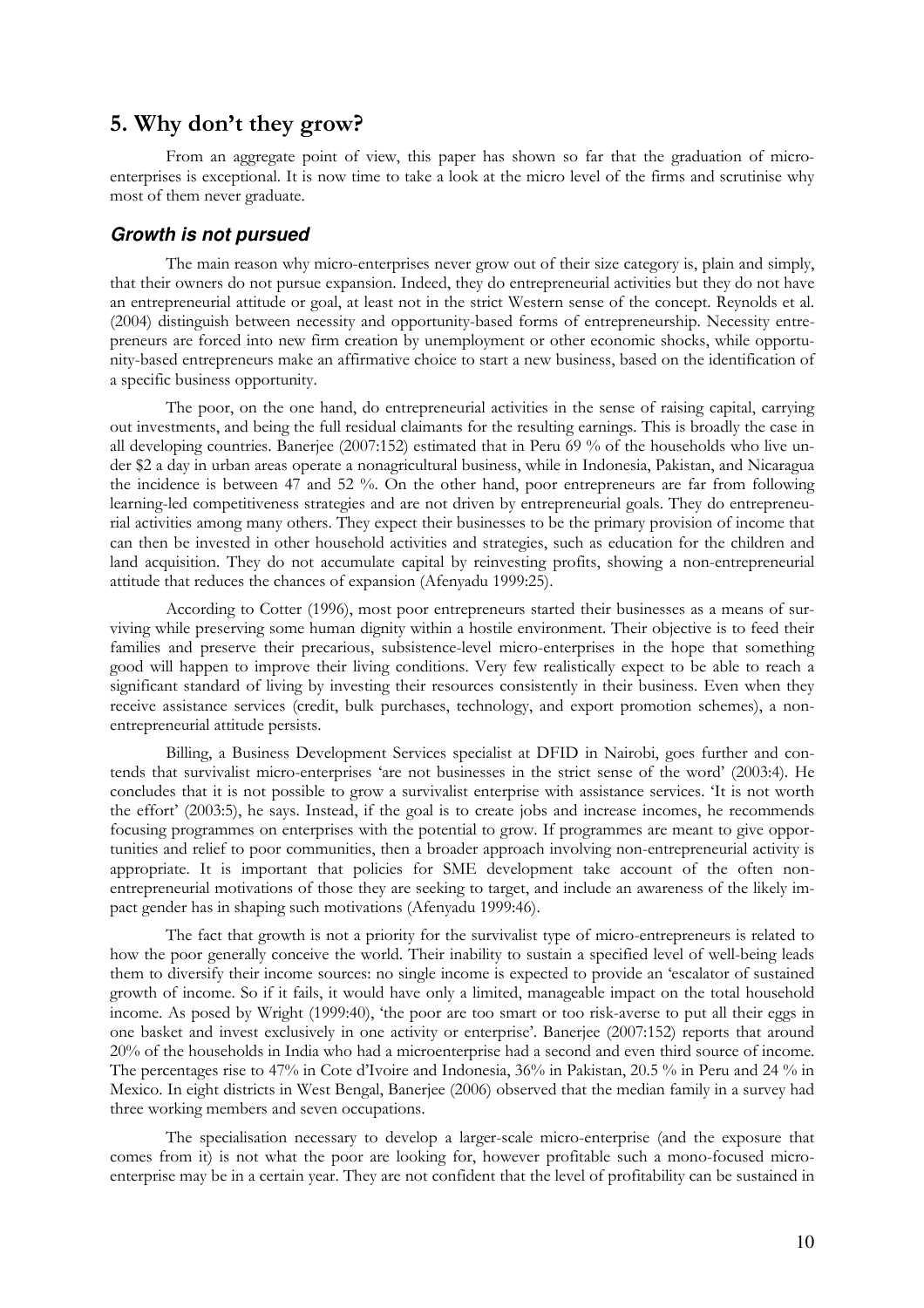# 5. Why don't they grow?

From an aggregate point of view, this paper has shown so far that the graduation of microenterprises is exceptional. It is now time to take a look at the micro level of the firms and scrutinise why most of them never graduate.

#### **Growth is not pursued**

The main reason why micro-enterprises never grow out of their size category is, plain and simply, that their owners do not pursue expansion. Indeed, they do entrepreneurial activities but they do not have an entrepreneurial attitude or goal, at least not in the strict Western sense of the concept. Reynolds et al. (2004) distinguish between necessity and opportunity-based forms of entrepreneurship. Necessity entrepreneurs are forced into new firm creation by unemployment or other economic shocks, while opportunity-based entrepreneurs make an affirmative choice to start a new business, based on the identification of a specific business opportunity.

The poor, on the one hand, do entrepreneurial activities in the sense of raising capital, carrying out investments, and being the full residual claimants for the resulting earnings. This is broadly the case in all developing countries. Banerjee (2007:152) estimated that in Peru 69 % of the households who live under \$2 a day in urban areas operate a nonagricultural business, while in Indonesia, Pakistan, and Nicaragua the incidence is between 47 and 52 %. On the other hand, poor entrepreneurs are far from following learning-led competitiveness strategies and are not driven by entrepreneurial goals. They do entrepreneurial activities among many others. They expect their businesses to be the primary provision of income that can then be invested in other household activities and strategies, such as education for the children and land acquisition. They do not accumulate capital by reinvesting profits, showing a non-entrepreneurial attitude that reduces the chances of expansion (Afenyadu 1999:25).

According to Cotter (1996), most poor entrepreneurs started their businesses as a means of surviving while preserving some human dignity within a hostile environment. Their objective is to feed their families and preserve their precarious, subsistence-level micro-enterprises in the hope that something good will happen to improve their living conditions. Very few realistically expect to be able to reach a significant standard of living by investing their resources consistently in their business. Even when they receive assistance services (credit, bulk purchases, technology, and export promotion schemes), a nonentrepreneurial attitude persists.

Billing, a Business Development Services specialist at DFID in Nairobi, goes further and contends that survivalist micro-enterprises 'are not businesses in the strict sense of the word' (2003:4). He concludes that it is not possible to grow a survivalist enterprise with assistance services. 'It is not worth the effort' (2003:5), he says. Instead, if the goal is to create jobs and increase incomes, he recommends focusing programmes on enterprises with the potential to grow. If programmes are meant to give opportunities and relief to poor communities, then a broader approach involving non-entrepreneurial activity is appropriate. It is important that policies for SME development take account of the often nonentrepreneurial motivations of those they are seeking to target, and include an awareness of the likely impact gender has in shaping such motivations (Afenyadu 1999:46).

The fact that growth is not a priority for the survivalist type of micro-entrepreneurs is related to how the poor generally conceive the world. Their inability to sustain a specified level of well-being leads them to diversify their income sources: no single income is expected to provide an 'escalator of sustained growth of income. So if it fails, it would have only a limited, manageable impact on the total household income. As posed by Wright (1999:40), 'the poor are too smart or too risk-averse to put all their eggs in one basket and invest exclusively in one activity or enterprise'. Banerjee (2007:152) reports that around 20% of the households in India who had a microenterprise had a second and even third source of income. The percentages rise to 47% in Cote d'Ivoire and Indonesia, 36% in Pakistan, 20.5 % in Peru and 24 % in Mexico. In eight districts in West Bengal, Banerjee (2006) observed that the median family in a survey had three working members and seven occupations.

The specialisation necessary to develop a larger-scale micro-enterprise (and the exposure that comes from it) is not what the poor are looking for, however profitable such a mono-focused microenterprise may be in a certain year. They are not confident that the level of profitability can be sustained in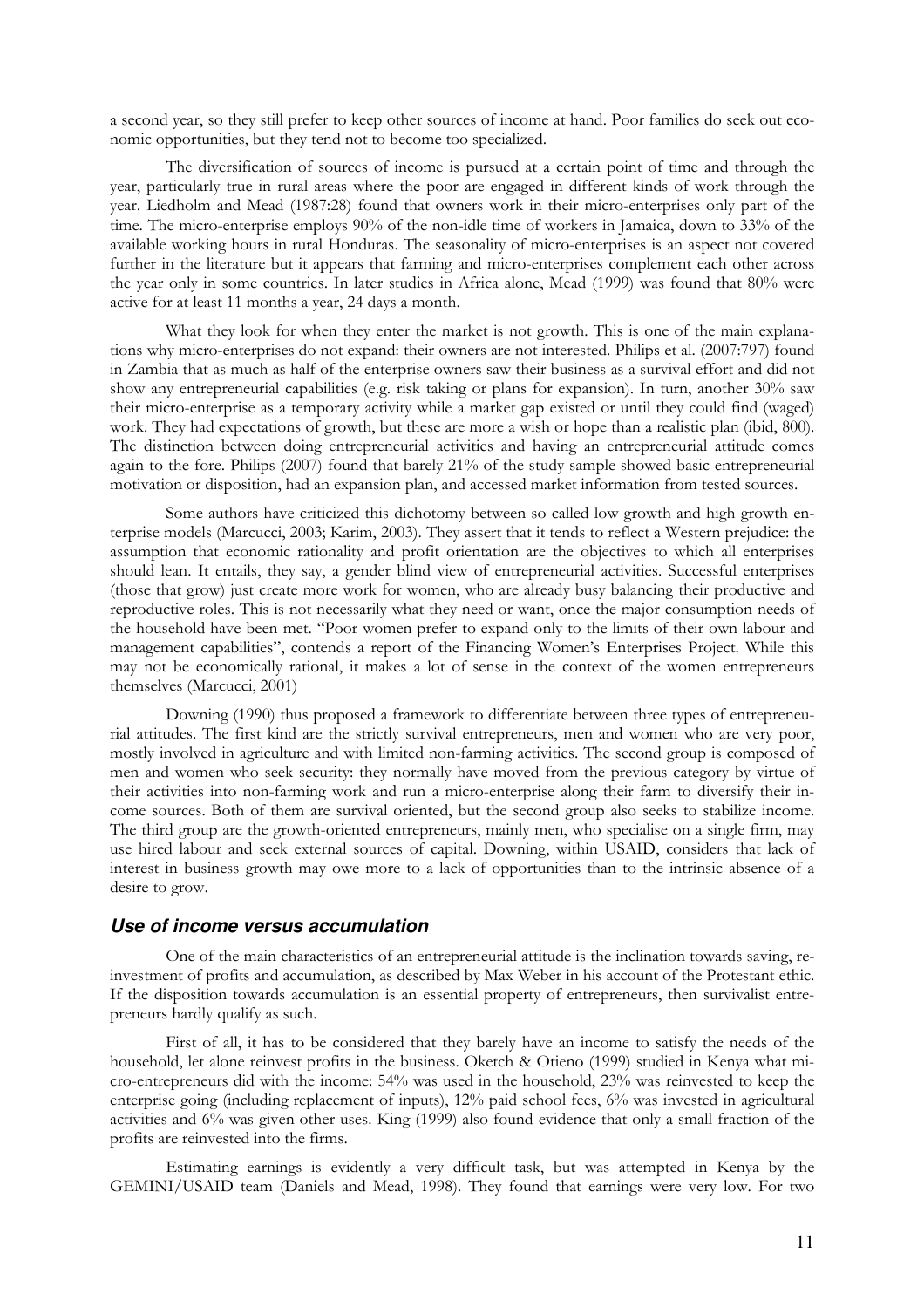a second year, so they still prefer to keep other sources of income at hand. Poor families do seek out economic opportunities, but they tend not to become too specialized.

The diversification of sources of income is pursued at a certain point of time and through the year, particularly true in rural areas where the poor are engaged in different kinds of work through the year. Liedholm and Mead (1987:28) found that owners work in their micro-enterprises only part of the time. The micro-enterprise employs 90% of the non-idle time of workers in Jamaica, down to 33% of the available working hours in rural Honduras. The seasonality of micro-enterprises is an aspect not covered further in the literature but it appears that farming and micro-enterprises complement each other across the year only in some countries. In later studies in Africa alone, Mead (1999) was found that 80% were active for at least 11 months a year, 24 days a month.

What they look for when they enter the market is not growth. This is one of the main explanations why micro-enterprises do not expand: their owners are not interested. Philips et al. (2007:797) found in Zambia that as much as half of the enterprise owners saw their business as a survival effort and did not show any entrepreneurial capabilities (e.g. risk taking or plans for expansion). In turn, another 30% saw their micro-enterprise as a temporary activity while a market gap existed or until they could find (waged) work. They had expectations of growth, but these are more a wish or hope than a realistic plan (ibid, 800). The distinction between doing entrepreneurial activities and having an entrepreneurial attitude comes again to the fore. Philips (2007) found that barely 21% of the study sample showed basic entrepreneurial motivation or disposition, had an expansion plan, and accessed market information from tested sources.

Some authors have criticized this dichotomy between so called low growth and high growth enterprise models (Marcucci, 2003; Karim, 2003). They assert that it tends to reflect a Western prejudice: the assumption that economic rationality and profit orientation are the objectives to which all enterprises should lean. It entails, they say, a gender blind view of entrepreneurial activities. Successful enterprises (those that grow) just create more work for women, who are already busy balancing their productive and reproductive roles. This is not necessarily what they need or want, once the major consumption needs of the household have been met. "Poor women prefer to expand only to the limits of their own labour and management capabilities", contends a report of the Financing Women's Enterprises Project. While this may not be economically rational, it makes a lot of sense in the context of the women entrepreneurs themselves (Marcucci, 2001)

Downing (1990) thus proposed a framework to differentiate between three types of entrepreneurial attitudes. The first kind are the strictly survival entrepreneurs, men and women who are very poor, mostly involved in agriculture and with limited non-farming activities. The second group is composed of men and women who seek security: they normally have moved from the previous category by virtue of their activities into non-farming work and run a micro-enterprise along their farm to diversify their income sources. Both of them are survival oriented, but the second group also seeks to stabilize income. The third group are the growth-oriented entrepreneurs, mainly men, who specialise on a single firm, may use hired labour and seek external sources of capital. Downing, within USAID, considers that lack of interest in business growth may owe more to a lack of opportunities than to the intrinsic absence of a desire to grow.

#### **Use of income versus accumulation**

One of the main characteristics of an entrepreneurial attitude is the inclination towards saving, reinvestment of profits and accumulation, as described by Max Weber in his account of the Protestant ethic. If the disposition towards accumulation is an essential property of entrepreneurs, then survivalist entrepreneurs hardly qualify as such.

First of all, it has to be considered that they barely have an income to satisfy the needs of the household, let alone reinvest profits in the business. Oketch & Otieno (1999) studied in Kenya what micro-entrepreneurs did with the income: 54% was used in the household, 23% was reinvested to keep the enterprise going (including replacement of inputs), 12% paid school fees, 6% was invested in agricultural activities and 6% was given other uses. King (1999) also found evidence that only a small fraction of the profits are reinvested into the firms.

Estimating earnings is evidently a very difficult task, but was attempted in Kenya by the GEMINI/USAID team (Daniels and Mead, 1998). They found that earnings were very low. For two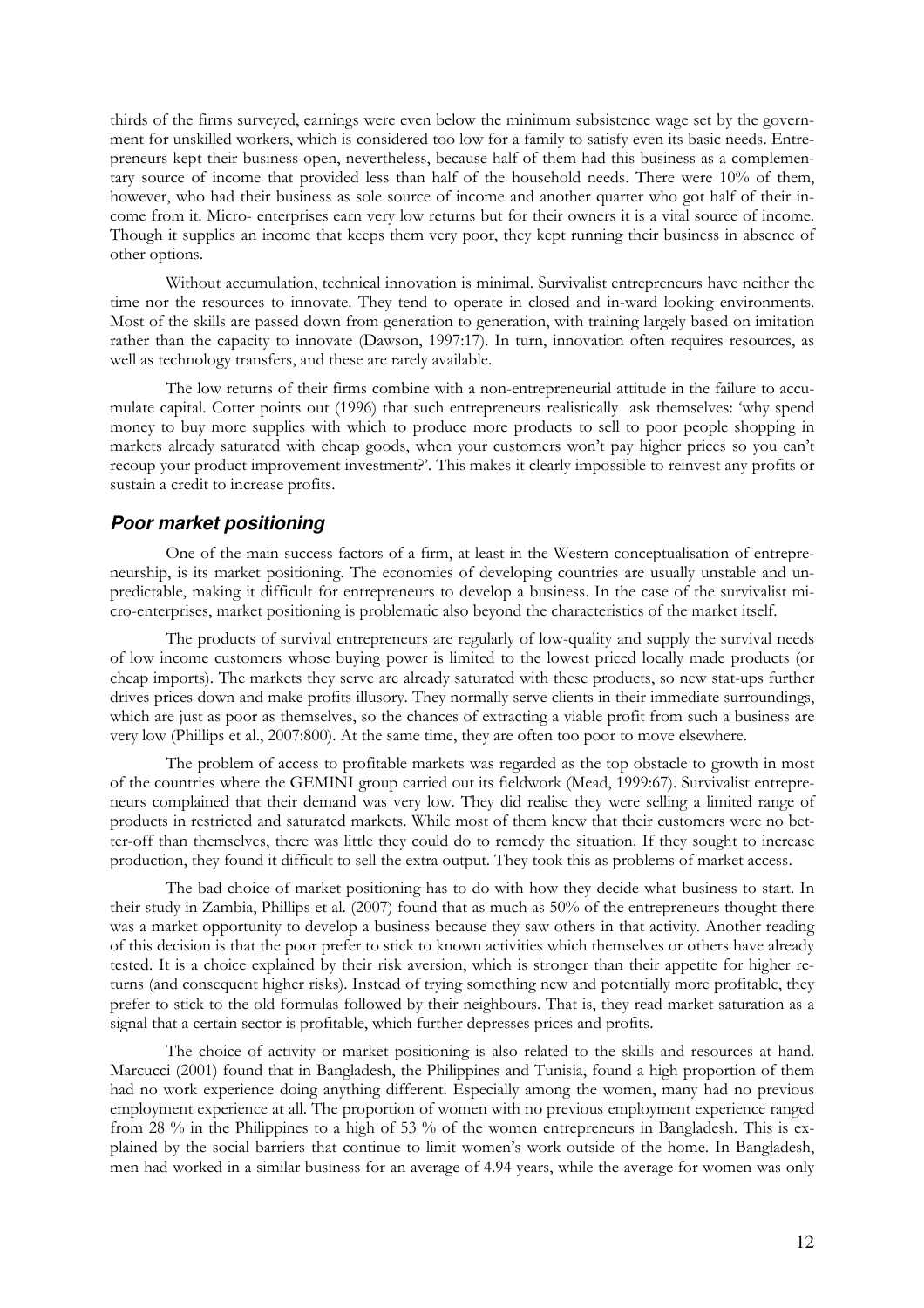thirds of the firms surveyed, earnings were even below the minimum subsistence wage set by the government for unskilled workers, which is considered too low for a family to satisfy even its basic needs. Entrepreneurs kept their business open, nevertheless, because half of them had this business as a complementary source of income that provided less than half of the household needs. There were 10% of them, however, who had their business as sole source of income and another quarter who got half of their income from it. Micro- enterprises earn very low returns but for their owners it is a vital source of income. Though it supplies an income that keeps them very poor, they kept running their business in absence of other options.

Without accumulation, technical innovation is minimal. Survivalist entrepreneurs have neither the time nor the resources to innovate. They tend to operate in closed and in-ward looking environments. Most of the skills are passed down from generation to generation, with training largely based on imitation rather than the capacity to innovate (Dawson, 1997:17). In turn, innovation often requires resources, as well as technology transfers, and these are rarely available.

The low returns of their firms combine with a non-entrepreneurial attitude in the failure to accumulate capital. Cotter points out (1996) that such entrepreneurs realistically ask themselves: 'why spend money to buy more supplies with which to produce more products to sell to poor people shopping in markets already saturated with cheap goods, when your customers won't pay higher prices so you can't recoup your product improvement investment?'. This makes it clearly impossible to reinvest any profits or sustain a credit to increase profits.

#### **Poor market positioning**

One of the main success factors of a firm, at least in the Western conceptualisation of entrepreneurship, is its market positioning. The economies of developing countries are usually unstable and unpredictable, making it difficult for entrepreneurs to develop a business. In the case of the survivalist micro-enterprises, market positioning is problematic also beyond the characteristics of the market itself.

The products of survival entrepreneurs are regularly of low-quality and supply the survival needs of low income customers whose buying power is limited to the lowest priced locally made products (or cheap imports). The markets they serve are already saturated with these products, so new stat-ups further drives prices down and make profits illusory. They normally serve clients in their immediate surroundings, which are just as poor as themselves, so the chances of extracting a viable profit from such a business are very low (Phillips et al., 2007:800). At the same time, they are often too poor to move elsewhere.

The problem of access to profitable markets was regarded as the top obstacle to growth in most of the countries where the GEMINI group carried out its fieldwork (Mead, 1999:67). Survivalist entrepreneurs complained that their demand was very low. They did realise they were selling a limited range of products in restricted and saturated markets. While most of them knew that their customers were no better-off than themselves, there was little they could do to remedy the situation. If they sought to increase production, they found it difficult to sell the extra output. They took this as problems of market access.

The bad choice of market positioning has to do with how they decide what business to start. In their study in Zambia, Phillips et al. (2007) found that as much as 50% of the entrepreneurs thought there was a market opportunity to develop a business because they saw others in that activity. Another reading of this decision is that the poor prefer to stick to known activities which themselves or others have already tested. It is a choice explained by their risk aversion, which is stronger than their appetite for higher returns (and consequent higher risks). Instead of trying something new and potentially more profitable, they prefer to stick to the old formulas followed by their neighbours. That is, they read market saturation as a signal that a certain sector is profitable, which further depresses prices and profits.

The choice of activity or market positioning is also related to the skills and resources at hand. Marcucci (2001) found that in Bangladesh, the Philippines and Tunisia, found a high proportion of them had no work experience doing anything different. Especially among the women, many had no previous employment experience at all. The proportion of women with no previous employment experience ranged from 28 % in the Philippines to a high of 53 % of the women entrepreneurs in Bangladesh. This is explained by the social barriers that continue to limit women's work outside of the home. In Bangladesh, men had worked in a similar business for an average of 4.94 years, while the average for women was only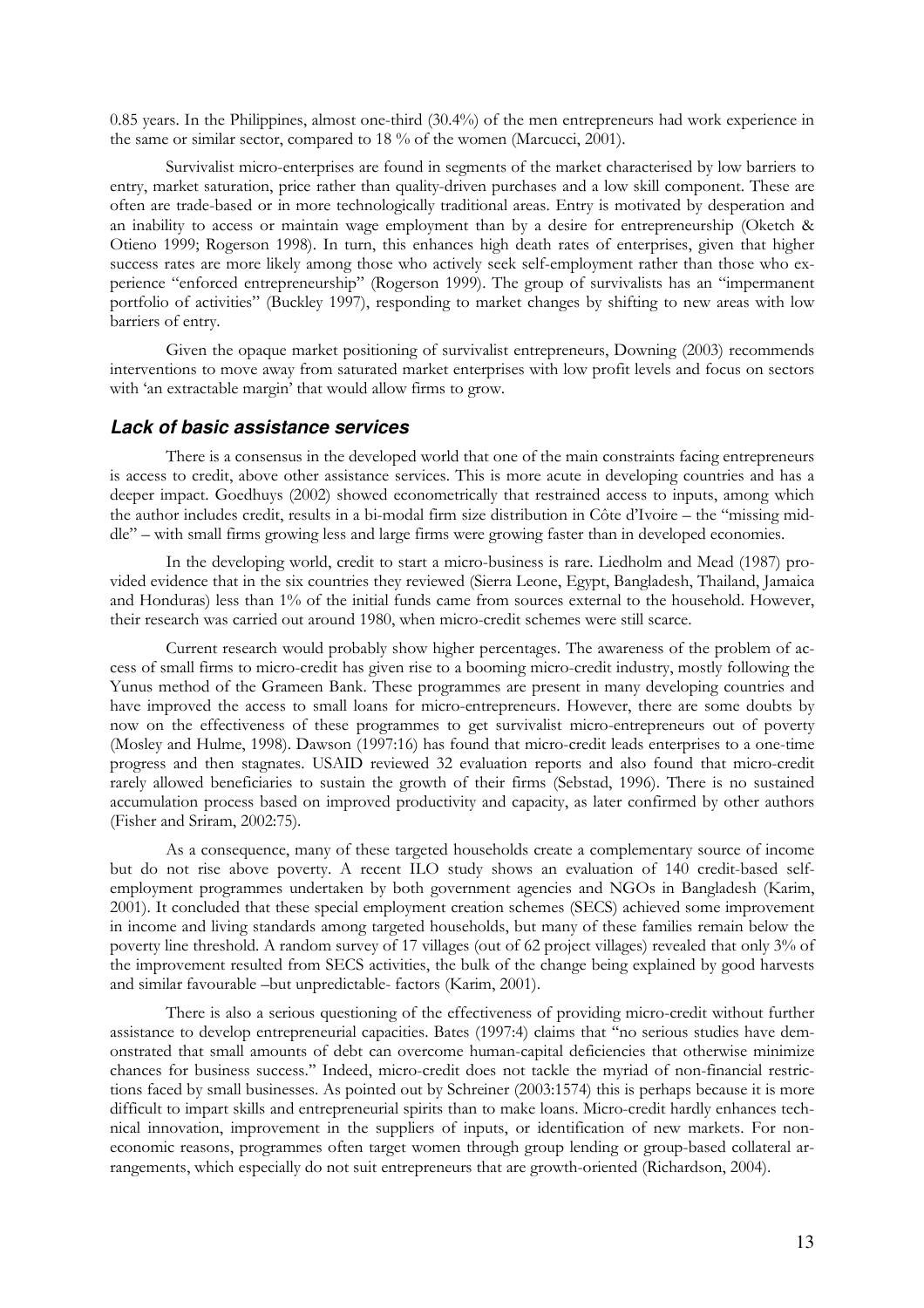0.85 years. In the Philippines, almost one-third (30.4%) of the men entrepreneurs had work experience in the same or similar sector, compared to 18 % of the women (Marcucci, 2001).

Survivalist micro-enterprises are found in segments of the market characterised by low barriers to entry, market saturation, price rather than quality-driven purchases and a low skill component. These are often are trade-based or in more technologically traditional areas. Entry is motivated by desperation and an inability to access or maintain wage employment than by a desire for entrepreneurship (Oketch & Otieno 1999; Rogerson 1998). In turn, this enhances high death rates of enterprises, given that higher success rates are more likely among those who actively seek self-employment rather than those who experience "enforced entrepreneurship" (Rogerson 1999). The group of survivalists has an "impermanent portfolio of activities" (Buckley 1997), responding to market changes by shifting to new areas with low barriers of entry.

Given the opaque market positioning of survivalist entrepreneurs, Downing (2003) recommends interventions to move away from saturated market enterprises with low profit levels and focus on sectors with 'an extractable margin' that would allow firms to grow.

#### **Lack of basic assistance services**

There is a consensus in the developed world that one of the main constraints facing entrepreneurs is access to credit, above other assistance services. This is more acute in developing countries and has a deeper impact. Goedhuys (2002) showed econometrically that restrained access to inputs, among which the author includes credit, results in a bi-modal firm size distribution in Côte d'Ivoire – the "missing middle" – with small firms growing less and large firms were growing faster than in developed economies.

In the developing world, credit to start a micro-business is rare. Liedholm and Mead (1987) provided evidence that in the six countries they reviewed (Sierra Leone, Egypt, Bangladesh, Thailand, Jamaica and Honduras) less than 1% of the initial funds came from sources external to the household. However, their research was carried out around 1980, when micro-credit schemes were still scarce.

Current research would probably show higher percentages. The awareness of the problem of access of small firms to micro-credit has given rise to a booming micro-credit industry, mostly following the Yunus method of the Grameen Bank. These programmes are present in many developing countries and have improved the access to small loans for micro-entrepreneurs. However, there are some doubts by now on the effectiveness of these programmes to get survivalist micro-entrepreneurs out of poverty (Mosley and Hulme, 1998). Dawson (1997:16) has found that micro-credit leads enterprises to a one-time progress and then stagnates. USAID reviewed 32 evaluation reports and also found that micro-credit rarely allowed beneficiaries to sustain the growth of their firms (Sebstad, 1996). There is no sustained accumulation process based on improved productivity and capacity, as later confirmed by other authors (Fisher and Sriram, 2002:75).

As a consequence, many of these targeted households create a complementary source of income but do not rise above poverty. A recent ILO study shows an evaluation of 140 credit-based selfemployment programmes undertaken by both government agencies and NGOs in Bangladesh (Karim, 2001). It concluded that these special employment creation schemes (SECS) achieved some improvement in income and living standards among targeted households, but many of these families remain below the poverty line threshold. A random survey of 17 villages (out of 62 project villages) revealed that only 3% of the improvement resulted from SECS activities, the bulk of the change being explained by good harvests and similar favourable –but unpredictable- factors (Karim, 2001).

There is also a serious questioning of the effectiveness of providing micro-credit without further assistance to develop entrepreneurial capacities. Bates (1997:4) claims that ''no serious studies have demonstrated that small amounts of debt can overcome human-capital deficiencies that otherwise minimize chances for business success.'' Indeed, micro-credit does not tackle the myriad of non-financial restrictions faced by small businesses. As pointed out by Schreiner (2003:1574) this is perhaps because it is more difficult to impart skills and entrepreneurial spirits than to make loans. Micro-credit hardly enhances technical innovation, improvement in the suppliers of inputs, or identification of new markets. For noneconomic reasons, programmes often target women through group lending or group-based collateral arrangements, which especially do not suit entrepreneurs that are growth-oriented (Richardson, 2004).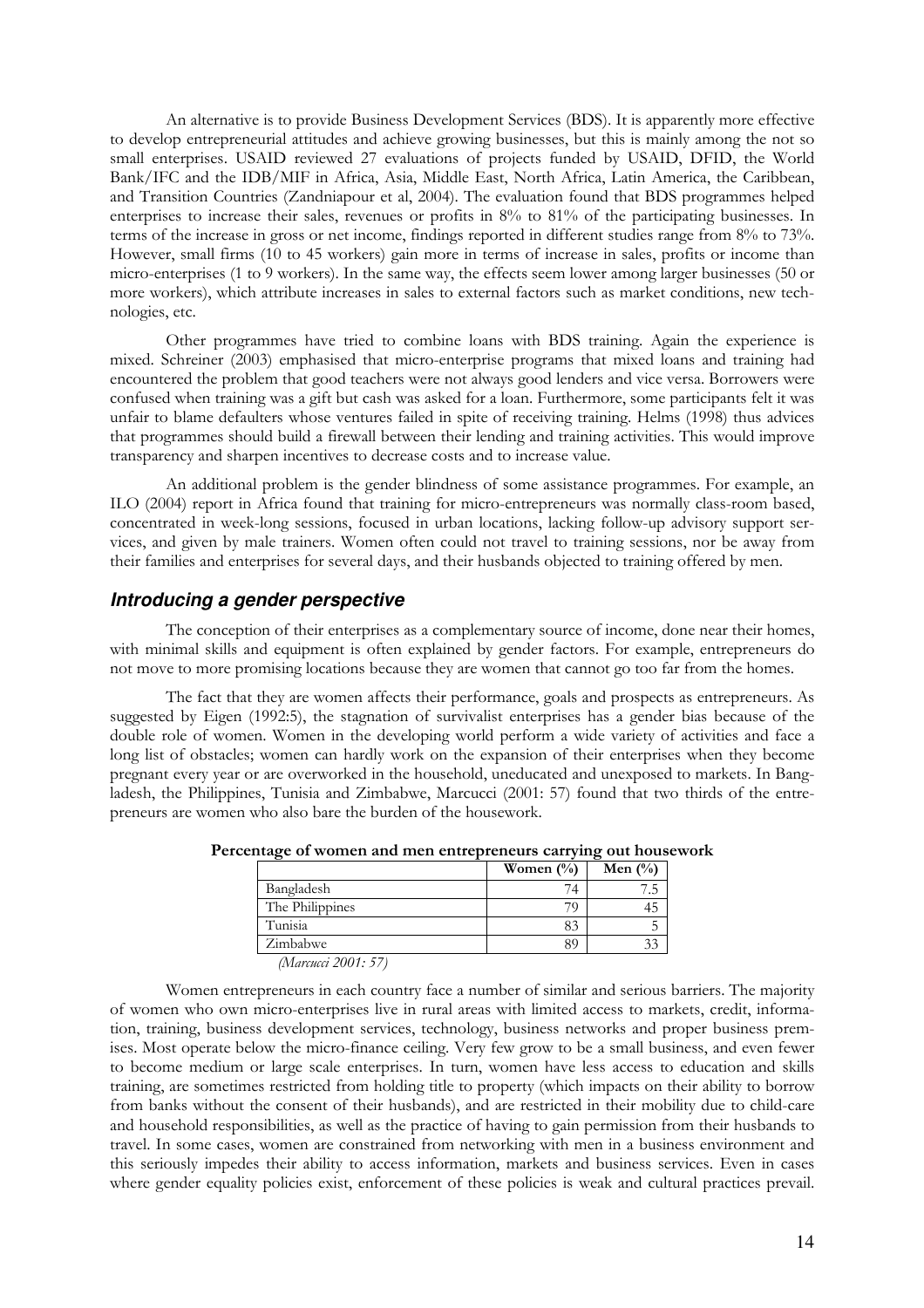An alternative is to provide Business Development Services (BDS). It is apparently more effective to develop entrepreneurial attitudes and achieve growing businesses, but this is mainly among the not so small enterprises. USAID reviewed 27 evaluations of projects funded by USAID, DFID, the World Bank/IFC and the IDB/MIF in Africa, Asia, Middle East, North Africa, Latin America, the Caribbean, and Transition Countries (Zandniapour et al, 2004). The evaluation found that BDS programmes helped enterprises to increase their sales, revenues or profits in 8% to 81% of the participating businesses. In terms of the increase in gross or net income, findings reported in different studies range from 8% to 73%. However, small firms (10 to 45 workers) gain more in terms of increase in sales, profits or income than micro-enterprises (1 to 9 workers). In the same way, the effects seem lower among larger businesses (50 or more workers), which attribute increases in sales to external factors such as market conditions, new technologies, etc.

Other programmes have tried to combine loans with BDS training. Again the experience is mixed. Schreiner (2003) emphasised that micro-enterprise programs that mixed loans and training had encountered the problem that good teachers were not always good lenders and vice versa. Borrowers were confused when training was a gift but cash was asked for a loan. Furthermore, some participants felt it was unfair to blame defaulters whose ventures failed in spite of receiving training. Helms (1998) thus advices that programmes should build a firewall between their lending and training activities. This would improve transparency and sharpen incentives to decrease costs and to increase value.

An additional problem is the gender blindness of some assistance programmes. For example, an ILO (2004) report in Africa found that training for micro-entrepreneurs was normally class-room based, concentrated in week-long sessions, focused in urban locations, lacking follow-up advisory support services, and given by male trainers. Women often could not travel to training sessions, nor be away from their families and enterprises for several days, and their husbands objected to training offered by men.

#### **Introducing a gender perspective**

The conception of their enterprises as a complementary source of income, done near their homes, with minimal skills and equipment is often explained by gender factors. For example, entrepreneurs do not move to more promising locations because they are women that cannot go too far from the homes.

The fact that they are women affects their performance, goals and prospects as entrepreneurs. As suggested by Eigen (1992:5), the stagnation of survivalist enterprises has a gender bias because of the double role of women. Women in the developing world perform a wide variety of activities and face a long list of obstacles; women can hardly work on the expansion of their enterprises when they become pregnant every year or are overworked in the household, uneducated and unexposed to markets. In Bangladesh, the Philippines, Tunisia and Zimbabwe, Marcucci (2001: 57) found that two thirds of the entrepreneurs are women who also bare the burden of the housework.

|                 | Women $(\% )$ | Men $(\%)$ |
|-----------------|---------------|------------|
| Bangladesh      |               |            |
| The Philippines |               |            |
| Tunisia         |               |            |
| Zimbabwe        |               |            |

Percentage of women and men entrepreneurs carrying out housework

(Marcucci 2001: 57)

Women entrepreneurs in each country face a number of similar and serious barriers. The majority of women who own micro-enterprises live in rural areas with limited access to markets, credit, information, training, business development services, technology, business networks and proper business premises. Most operate below the micro-finance ceiling. Very few grow to be a small business, and even fewer to become medium or large scale enterprises. In turn, women have less access to education and skills training, are sometimes restricted from holding title to property (which impacts on their ability to borrow from banks without the consent of their husbands), and are restricted in their mobility due to child-care and household responsibilities, as well as the practice of having to gain permission from their husbands to travel. In some cases, women are constrained from networking with men in a business environment and this seriously impedes their ability to access information, markets and business services. Even in cases where gender equality policies exist, enforcement of these policies is weak and cultural practices prevail.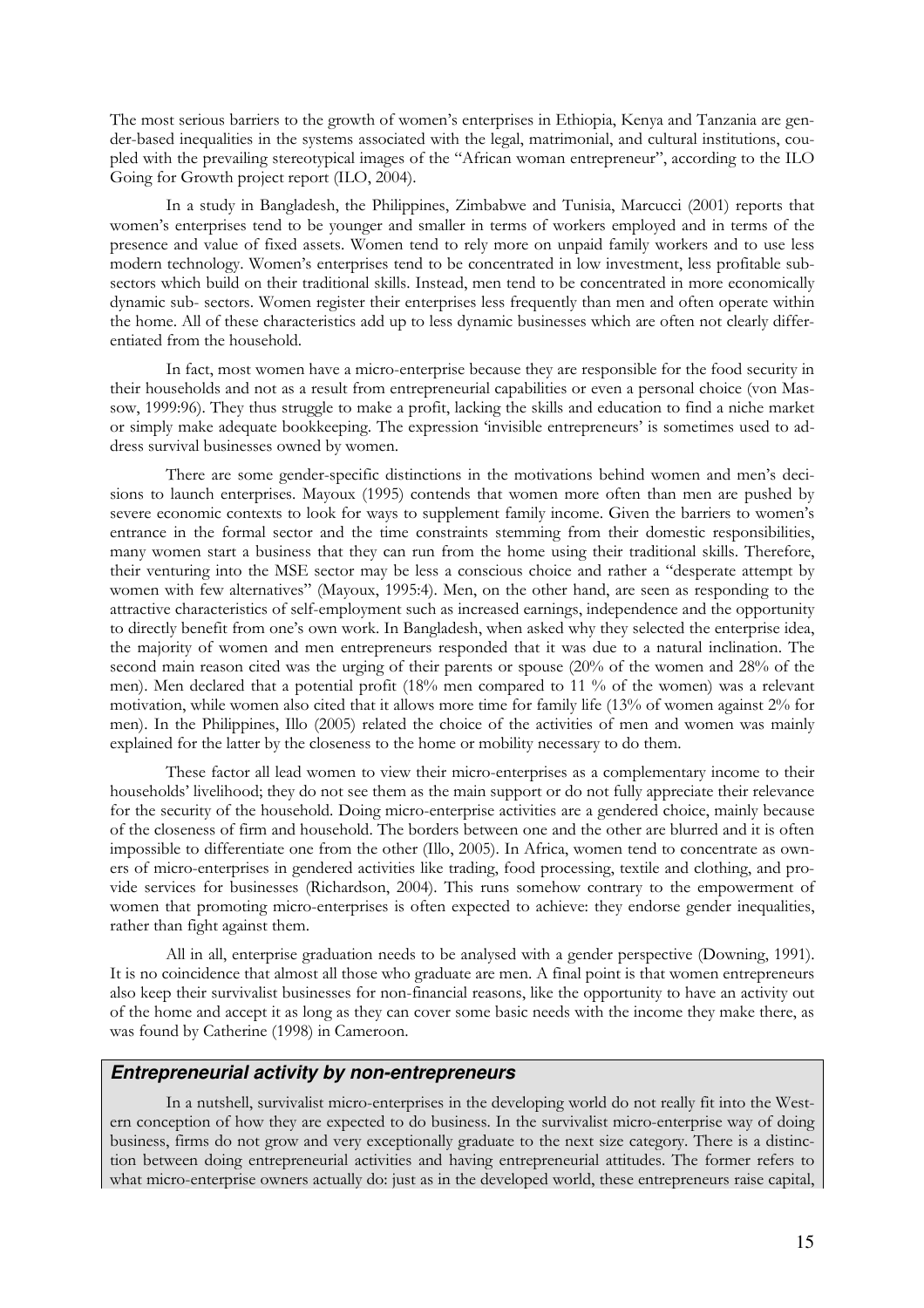The most serious barriers to the growth of women's enterprises in Ethiopia, Kenya and Tanzania are gender-based inequalities in the systems associated with the legal, matrimonial, and cultural institutions, coupled with the prevailing stereotypical images of the "African woman entrepreneur", according to the ILO Going for Growth project report (ILO, 2004).

In a study in Bangladesh, the Philippines, Zimbabwe and Tunisia, Marcucci (2001) reports that women's enterprises tend to be younger and smaller in terms of workers employed and in terms of the presence and value of fixed assets. Women tend to rely more on unpaid family workers and to use less modern technology. Women's enterprises tend to be concentrated in low investment, less profitable subsectors which build on their traditional skills. Instead, men tend to be concentrated in more economically dynamic sub- sectors. Women register their enterprises less frequently than men and often operate within the home. All of these characteristics add up to less dynamic businesses which are often not clearly differentiated from the household.

In fact, most women have a micro-enterprise because they are responsible for the food security in their households and not as a result from entrepreneurial capabilities or even a personal choice (von Massow, 1999:96). They thus struggle to make a profit, lacking the skills and education to find a niche market or simply make adequate bookkeeping. The expression 'invisible entrepreneurs' is sometimes used to address survival businesses owned by women.

There are some gender-specific distinctions in the motivations behind women and men's decisions to launch enterprises. Mayoux (1995) contends that women more often than men are pushed by severe economic contexts to look for ways to supplement family income. Given the barriers to women's entrance in the formal sector and the time constraints stemming from their domestic responsibilities, many women start a business that they can run from the home using their traditional skills. Therefore, their venturing into the MSE sector may be less a conscious choice and rather a "desperate attempt by women with few alternatives" (Mayoux, 1995:4). Men, on the other hand, are seen as responding to the attractive characteristics of self-employment such as increased earnings, independence and the opportunity to directly benefit from one's own work. In Bangladesh, when asked why they selected the enterprise idea, the majority of women and men entrepreneurs responded that it was due to a natural inclination. The second main reason cited was the urging of their parents or spouse (20% of the women and 28% of the men). Men declared that a potential profit (18% men compared to 11 % of the women) was a relevant motivation, while women also cited that it allows more time for family life (13% of women against 2% for men). In the Philippines, Illo (2005) related the choice of the activities of men and women was mainly explained for the latter by the closeness to the home or mobility necessary to do them.

These factor all lead women to view their micro-enterprises as a complementary income to their households' livelihood; they do not see them as the main support or do not fully appreciate their relevance for the security of the household. Doing micro-enterprise activities are a gendered choice, mainly because of the closeness of firm and household. The borders between one and the other are blurred and it is often impossible to differentiate one from the other (Illo, 2005). In Africa, women tend to concentrate as owners of micro-enterprises in gendered activities like trading, food processing, textile and clothing, and provide services for businesses (Richardson, 2004). This runs somehow contrary to the empowerment of women that promoting micro-enterprises is often expected to achieve: they endorse gender inequalities, rather than fight against them.

All in all, enterprise graduation needs to be analysed with a gender perspective (Downing, 1991). It is no coincidence that almost all those who graduate are men. A final point is that women entrepreneurs also keep their survivalist businesses for non-financial reasons, like the opportunity to have an activity out of the home and accept it as long as they can cover some basic needs with the income they make there, as was found by Catherine (1998) in Cameroon.

#### **Entrepreneurial activity by non-entrepreneurs**

In a nutshell, survivalist micro-enterprises in the developing world do not really fit into the Western conception of how they are expected to do business. In the survivalist micro-enterprise way of doing business, firms do not grow and very exceptionally graduate to the next size category. There is a distinction between doing entrepreneurial activities and having entrepreneurial attitudes. The former refers to what micro-enterprise owners actually do: just as in the developed world, these entrepreneurs raise capital,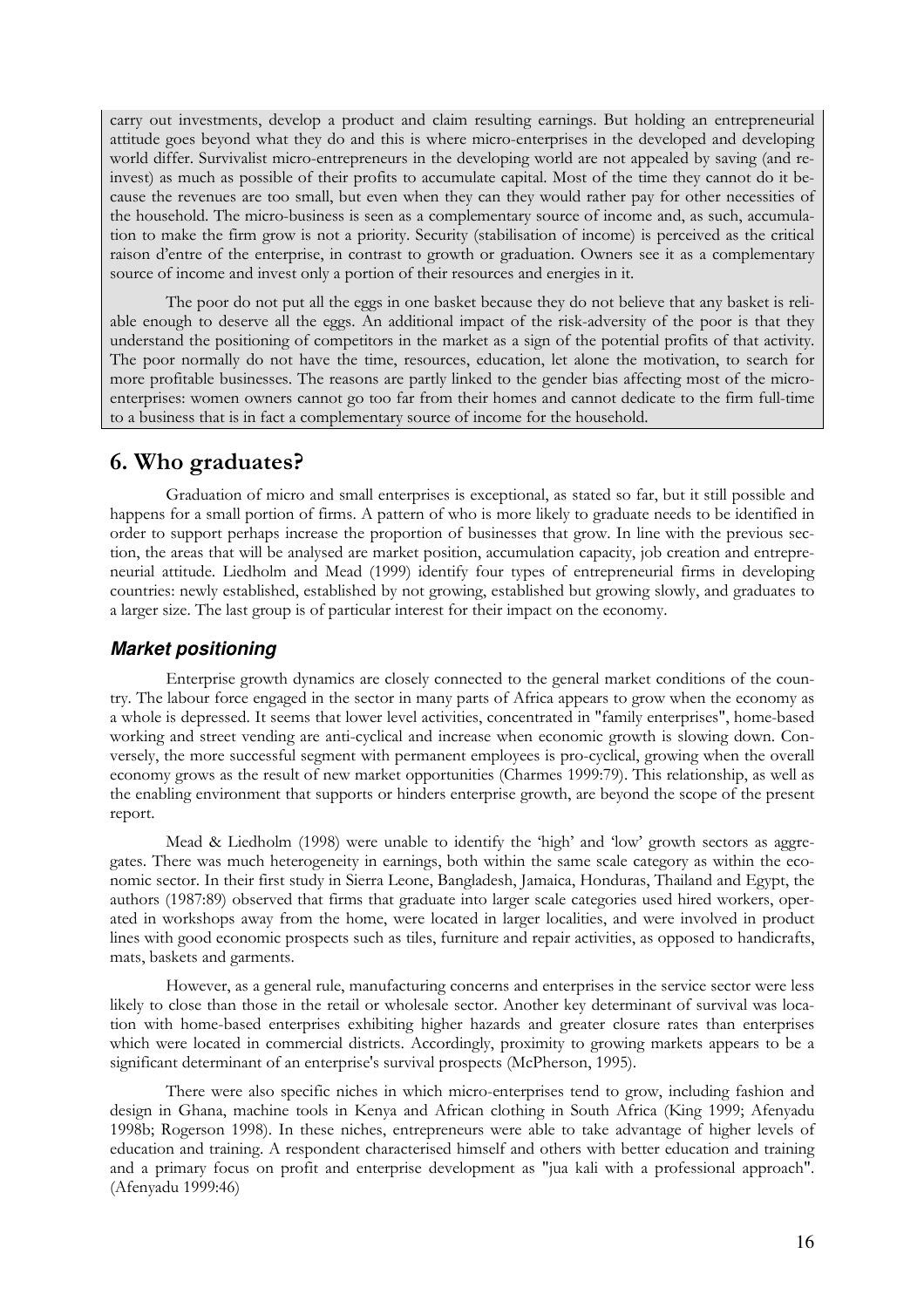carry out investments, develop a product and claim resulting earnings. But holding an entrepreneurial attitude goes beyond what they do and this is where micro-enterprises in the developed and developing world differ. Survivalist micro-entrepreneurs in the developing world are not appealed by saving (and reinvest) as much as possible of their profits to accumulate capital. Most of the time they cannot do it because the revenues are too small, but even when they can they would rather pay for other necessities of the household. The micro-business is seen as a complementary source of income and, as such, accumulation to make the firm grow is not a priority. Security (stabilisation of income) is perceived as the critical raison d'entre of the enterprise, in contrast to growth or graduation. Owners see it as a complementary source of income and invest only a portion of their resources and energies in it.

The poor do not put all the eggs in one basket because they do not believe that any basket is reliable enough to deserve all the eggs. An additional impact of the risk-adversity of the poor is that they understand the positioning of competitors in the market as a sign of the potential profits of that activity. The poor normally do not have the time, resources, education, let alone the motivation, to search for more profitable businesses. The reasons are partly linked to the gender bias affecting most of the microenterprises: women owners cannot go too far from their homes and cannot dedicate to the firm full-time to a business that is in fact a complementary source of income for the household.

# 6. Who graduates?

Graduation of micro and small enterprises is exceptional, as stated so far, but it still possible and happens for a small portion of firms. A pattern of who is more likely to graduate needs to be identified in order to support perhaps increase the proportion of businesses that grow. In line with the previous section, the areas that will be analysed are market position, accumulation capacity, job creation and entrepreneurial attitude. Liedholm and Mead (1999) identify four types of entrepreneurial firms in developing countries: newly established, established by not growing, established but growing slowly, and graduates to a larger size. The last group is of particular interest for their impact on the economy.

### **Market positioning**

Enterprise growth dynamics are closely connected to the general market conditions of the country. The labour force engaged in the sector in many parts of Africa appears to grow when the economy as a whole is depressed. It seems that lower level activities, concentrated in "family enterprises", home-based working and street vending are anti-cyclical and increase when economic growth is slowing down. Conversely, the more successful segment with permanent employees is pro-cyclical, growing when the overall economy grows as the result of new market opportunities (Charmes 1999:79). This relationship, as well as the enabling environment that supports or hinders enterprise growth, are beyond the scope of the present report.

Mead & Liedholm (1998) were unable to identify the 'high' and 'low' growth sectors as aggregates. There was much heterogeneity in earnings, both within the same scale category as within the economic sector. In their first study in Sierra Leone, Bangladesh, Jamaica, Honduras, Thailand and Egypt, the authors (1987:89) observed that firms that graduate into larger scale categories used hired workers, operated in workshops away from the home, were located in larger localities, and were involved in product lines with good economic prospects such as tiles, furniture and repair activities, as opposed to handicrafts, mats, baskets and garments.

However, as a general rule, manufacturing concerns and enterprises in the service sector were less likely to close than those in the retail or wholesale sector. Another key determinant of survival was location with home-based enterprises exhibiting higher hazards and greater closure rates than enterprises which were located in commercial districts. Accordingly, proximity to growing markets appears to be a significant determinant of an enterprise's survival prospects (McPherson, 1995).

There were also specific niches in which micro-enterprises tend to grow, including fashion and design in Ghana, machine tools in Kenya and African clothing in South Africa (King 1999; Afenyadu 1998b; Rogerson 1998). In these niches, entrepreneurs were able to take advantage of higher levels of education and training. A respondent characterised himself and others with better education and training and a primary focus on profit and enterprise development as "jua kali with a professional approach". (Afenyadu 1999:46)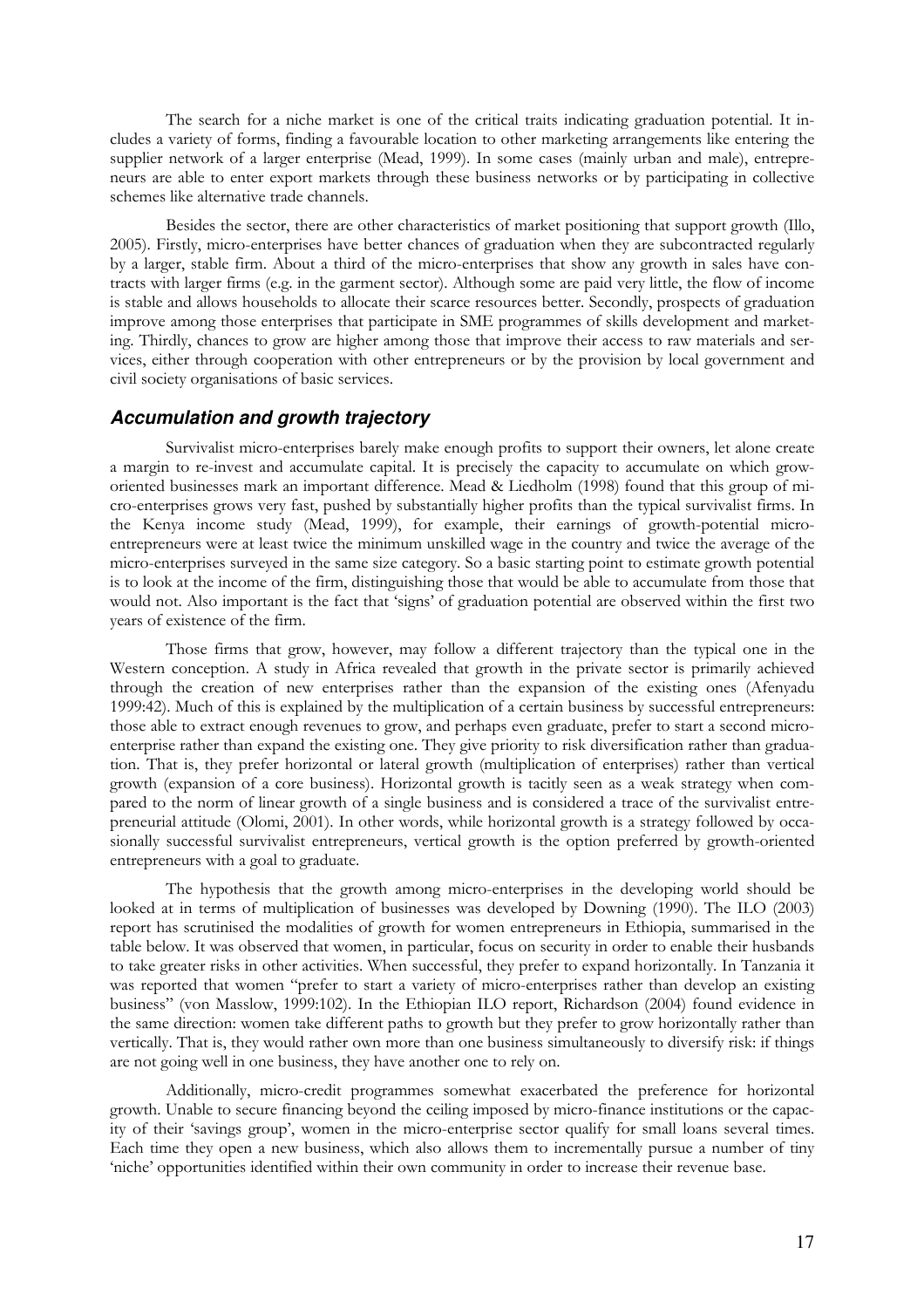The search for a niche market is one of the critical traits indicating graduation potential. It includes a variety of forms, finding a favourable location to other marketing arrangements like entering the supplier network of a larger enterprise (Mead, 1999). In some cases (mainly urban and male), entrepreneurs are able to enter export markets through these business networks or by participating in collective schemes like alternative trade channels.

Besides the sector, there are other characteristics of market positioning that support growth (Illo, 2005). Firstly, micro-enterprises have better chances of graduation when they are subcontracted regularly by a larger, stable firm. About a third of the micro-enterprises that show any growth in sales have contracts with larger firms (e.g. in the garment sector). Although some are paid very little, the flow of income is stable and allows households to allocate their scarce resources better. Secondly, prospects of graduation improve among those enterprises that participate in SME programmes of skills development and marketing. Thirdly, chances to grow are higher among those that improve their access to raw materials and services, either through cooperation with other entrepreneurs or by the provision by local government and civil society organisations of basic services.

#### **Accumulation and growth trajectory**

Survivalist micro-enterprises barely make enough profits to support their owners, let alone create a margin to re-invest and accumulate capital. It is precisely the capacity to accumulate on which groworiented businesses mark an important difference. Mead & Liedholm (1998) found that this group of micro-enterprises grows very fast, pushed by substantially higher profits than the typical survivalist firms. In the Kenya income study (Mead, 1999), for example, their earnings of growth-potential microentrepreneurs were at least twice the minimum unskilled wage in the country and twice the average of the micro-enterprises surveyed in the same size category. So a basic starting point to estimate growth potential is to look at the income of the firm, distinguishing those that would be able to accumulate from those that would not. Also important is the fact that 'signs' of graduation potential are observed within the first two years of existence of the firm.

Those firms that grow, however, may follow a different trajectory than the typical one in the Western conception. A study in Africa revealed that growth in the private sector is primarily achieved through the creation of new enterprises rather than the expansion of the existing ones (Afenyadu 1999:42). Much of this is explained by the multiplication of a certain business by successful entrepreneurs: those able to extract enough revenues to grow, and perhaps even graduate, prefer to start a second microenterprise rather than expand the existing one. They give priority to risk diversification rather than graduation. That is, they prefer horizontal or lateral growth (multiplication of enterprises) rather than vertical growth (expansion of a core business). Horizontal growth is tacitly seen as a weak strategy when compared to the norm of linear growth of a single business and is considered a trace of the survivalist entrepreneurial attitude (Olomi, 2001). In other words, while horizontal growth is a strategy followed by occasionally successful survivalist entrepreneurs, vertical growth is the option preferred by growth-oriented entrepreneurs with a goal to graduate.

The hypothesis that the growth among micro-enterprises in the developing world should be looked at in terms of multiplication of businesses was developed by Downing (1990). The ILO (2003) report has scrutinised the modalities of growth for women entrepreneurs in Ethiopia, summarised in the table below. It was observed that women, in particular, focus on security in order to enable their husbands to take greater risks in other activities. When successful, they prefer to expand horizontally. In Tanzania it was reported that women "prefer to start a variety of micro-enterprises rather than develop an existing business" (von Masslow, 1999:102). In the Ethiopian ILO report, Richardson (2004) found evidence in the same direction: women take different paths to growth but they prefer to grow horizontally rather than vertically. That is, they would rather own more than one business simultaneously to diversify risk: if things are not going well in one business, they have another one to rely on.

Additionally, micro-credit programmes somewhat exacerbated the preference for horizontal growth. Unable to secure financing beyond the ceiling imposed by micro-finance institutions or the capacity of their 'savings group', women in the micro-enterprise sector qualify for small loans several times. Each time they open a new business, which also allows them to incrementally pursue a number of tiny 'niche' opportunities identified within their own community in order to increase their revenue base.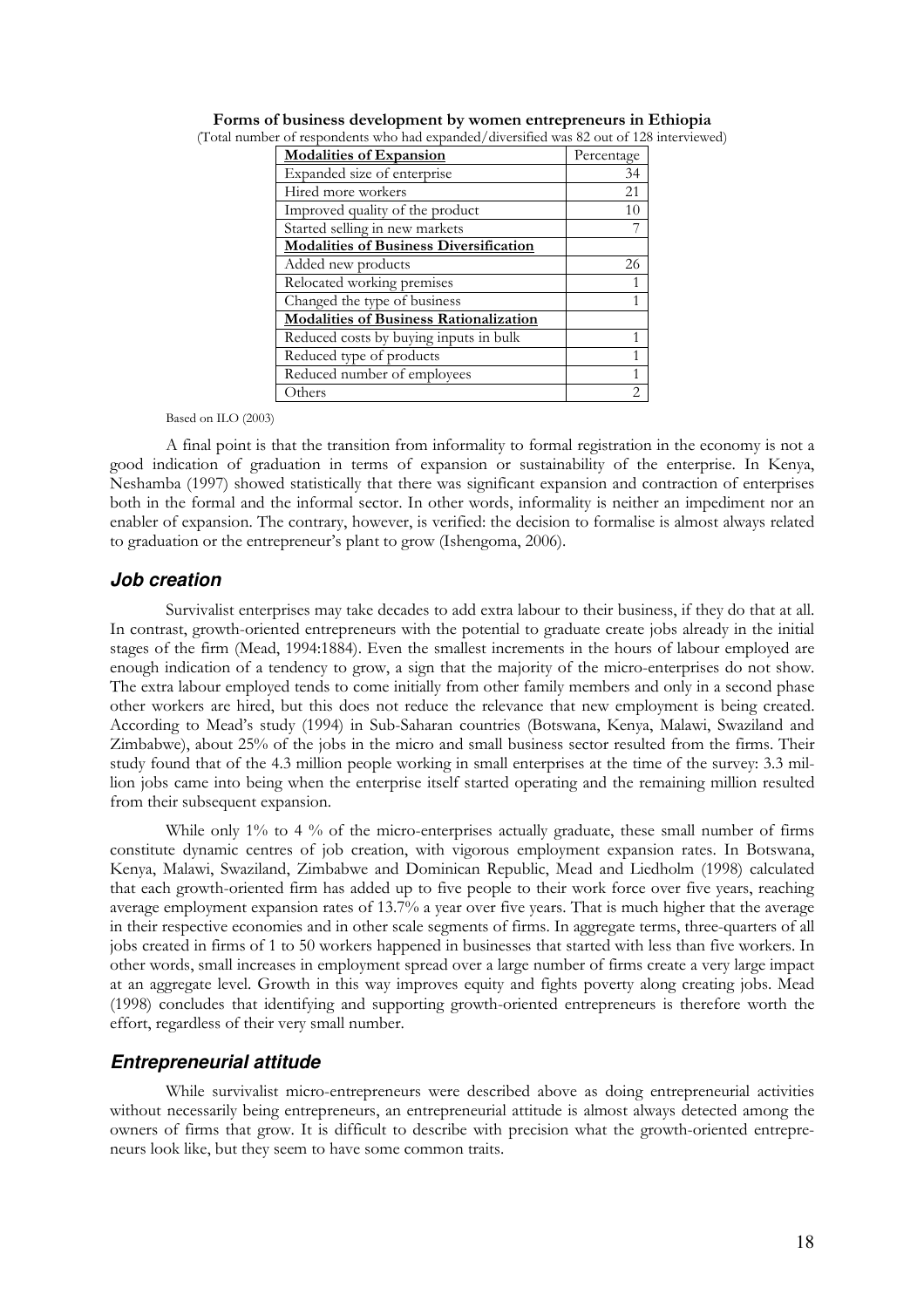| <b>Modalities of Expansion</b>                | Percentage |
|-----------------------------------------------|------------|
| Expanded size of enterprise                   | 34         |
| Hired more workers                            | 21         |
| Improved quality of the product               | 10         |
| Started selling in new markets                |            |
| <b>Modalities of Business Diversification</b> |            |
| Added new products                            | 26         |
| Relocated working premises                    |            |
| Changed the type of business                  |            |
| <b>Modalities of Business Rationalization</b> |            |
| Reduced costs by buying inputs in bulk        |            |
| Reduced type of products                      |            |
| Reduced number of employees                   |            |
| Others                                        |            |

Forms of business development by women entrepreneurs in Ethiopia (Total number of respondents who had expanded/diversified was 82 out of 128 interviewed)

Based on ILO (2003)

A final point is that the transition from informality to formal registration in the economy is not a good indication of graduation in terms of expansion or sustainability of the enterprise. In Kenya, Neshamba (1997) showed statistically that there was significant expansion and contraction of enterprises both in the formal and the informal sector. In other words, informality is neither an impediment nor an enabler of expansion. The contrary, however, is verified: the decision to formalise is almost always related to graduation or the entrepreneur's plant to grow (Ishengoma, 2006).

#### **Job creation**

Survivalist enterprises may take decades to add extra labour to their business, if they do that at all. In contrast, growth-oriented entrepreneurs with the potential to graduate create jobs already in the initial stages of the firm (Mead, 1994:1884). Even the smallest increments in the hours of labour employed are enough indication of a tendency to grow, a sign that the majority of the micro-enterprises do not show. The extra labour employed tends to come initially from other family members and only in a second phase other workers are hired, but this does not reduce the relevance that new employment is being created. According to Mead's study (1994) in Sub-Saharan countries (Botswana, Kenya, Malawi, Swaziland and Zimbabwe), about 25% of the jobs in the micro and small business sector resulted from the firms. Their study found that of the 4.3 million people working in small enterprises at the time of the survey: 3.3 million jobs came into being when the enterprise itself started operating and the remaining million resulted from their subsequent expansion.

While only 1% to 4 % of the micro-enterprises actually graduate, these small number of firms constitute dynamic centres of job creation, with vigorous employment expansion rates. In Botswana, Kenya, Malawi, Swaziland, Zimbabwe and Dominican Republic, Mead and Liedholm (1998) calculated that each growth-oriented firm has added up to five people to their work force over five years, reaching average employment expansion rates of 13.7% a year over five years. That is much higher that the average in their respective economies and in other scale segments of firms. In aggregate terms, three-quarters of all jobs created in firms of 1 to 50 workers happened in businesses that started with less than five workers. In other words, small increases in employment spread over a large number of firms create a very large impact at an aggregate level. Growth in this way improves equity and fights poverty along creating jobs. Mead (1998) concludes that identifying and supporting growth-oriented entrepreneurs is therefore worth the effort, regardless of their very small number.

### **Entrepreneurial attitude**

While survivalist micro-entrepreneurs were described above as doing entrepreneurial activities without necessarily being entrepreneurs, an entrepreneurial attitude is almost always detected among the owners of firms that grow. It is difficult to describe with precision what the growth-oriented entrepreneurs look like, but they seem to have some common traits.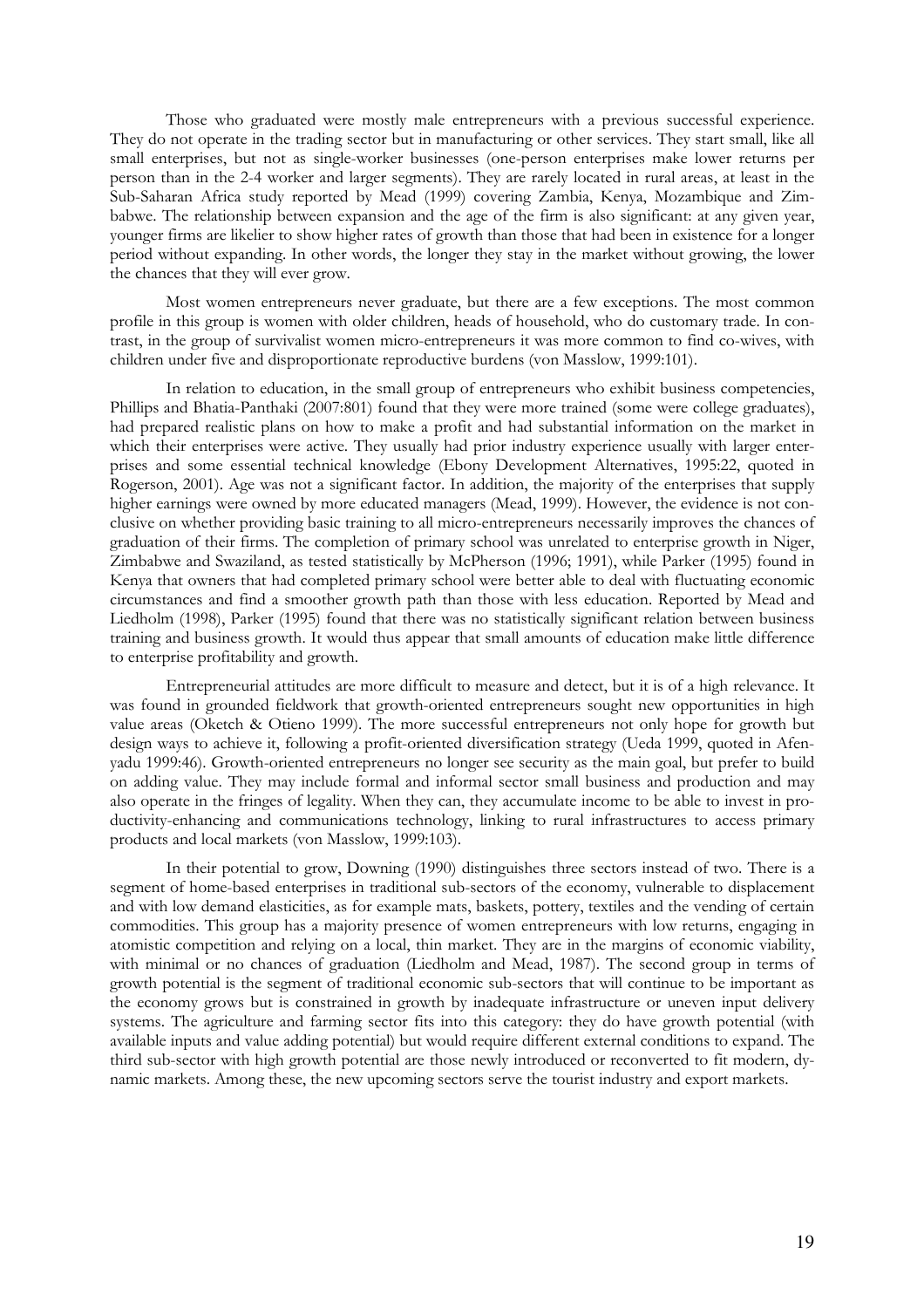Those who graduated were mostly male entrepreneurs with a previous successful experience. They do not operate in the trading sector but in manufacturing or other services. They start small, like all small enterprises, but not as single-worker businesses (one-person enterprises make lower returns per person than in the 2-4 worker and larger segments). They are rarely located in rural areas, at least in the Sub-Saharan Africa study reported by Mead (1999) covering Zambia, Kenya, Mozambique and Zimbabwe. The relationship between expansion and the age of the firm is also significant: at any given year, younger firms are likelier to show higher rates of growth than those that had been in existence for a longer period without expanding. In other words, the longer they stay in the market without growing, the lower the chances that they will ever grow.

Most women entrepreneurs never graduate, but there are a few exceptions. The most common profile in this group is women with older children, heads of household, who do customary trade. In contrast, in the group of survivalist women micro-entrepreneurs it was more common to find co-wives, with children under five and disproportionate reproductive burdens (von Masslow, 1999:101).

In relation to education, in the small group of entrepreneurs who exhibit business competencies, Phillips and Bhatia-Panthaki (2007:801) found that they were more trained (some were college graduates), had prepared realistic plans on how to make a profit and had substantial information on the market in which their enterprises were active. They usually had prior industry experience usually with larger enterprises and some essential technical knowledge (Ebony Development Alternatives, 1995:22, quoted in Rogerson, 2001). Age was not a significant factor. In addition, the majority of the enterprises that supply higher earnings were owned by more educated managers (Mead, 1999). However, the evidence is not conclusive on whether providing basic training to all micro-entrepreneurs necessarily improves the chances of graduation of their firms. The completion of primary school was unrelated to enterprise growth in Niger, Zimbabwe and Swaziland, as tested statistically by McPherson (1996; 1991), while Parker (1995) found in Kenya that owners that had completed primary school were better able to deal with fluctuating economic circumstances and find a smoother growth path than those with less education. Reported by Mead and Liedholm (1998), Parker (1995) found that there was no statistically significant relation between business training and business growth. It would thus appear that small amounts of education make little difference to enterprise profitability and growth.

Entrepreneurial attitudes are more difficult to measure and detect, but it is of a high relevance. It was found in grounded fieldwork that growth-oriented entrepreneurs sought new opportunities in high value areas (Oketch & Otieno 1999). The more successful entrepreneurs not only hope for growth but design ways to achieve it, following a profit-oriented diversification strategy (Ueda 1999, quoted in Afenyadu 1999:46). Growth-oriented entrepreneurs no longer see security as the main goal, but prefer to build on adding value. They may include formal and informal sector small business and production and may also operate in the fringes of legality. When they can, they accumulate income to be able to invest in productivity-enhancing and communications technology, linking to rural infrastructures to access primary products and local markets (von Masslow, 1999:103).

In their potential to grow, Downing (1990) distinguishes three sectors instead of two. There is a segment of home-based enterprises in traditional sub-sectors of the economy, vulnerable to displacement and with low demand elasticities, as for example mats, baskets, pottery, textiles and the vending of certain commodities. This group has a majority presence of women entrepreneurs with low returns, engaging in atomistic competition and relying on a local, thin market. They are in the margins of economic viability, with minimal or no chances of graduation (Liedholm and Mead, 1987). The second group in terms of growth potential is the segment of traditional economic sub-sectors that will continue to be important as the economy grows but is constrained in growth by inadequate infrastructure or uneven input delivery systems. The agriculture and farming sector fits into this category: they do have growth potential (with available inputs and value adding potential) but would require different external conditions to expand. The third sub-sector with high growth potential are those newly introduced or reconverted to fit modern, dynamic markets. Among these, the new upcoming sectors serve the tourist industry and export markets.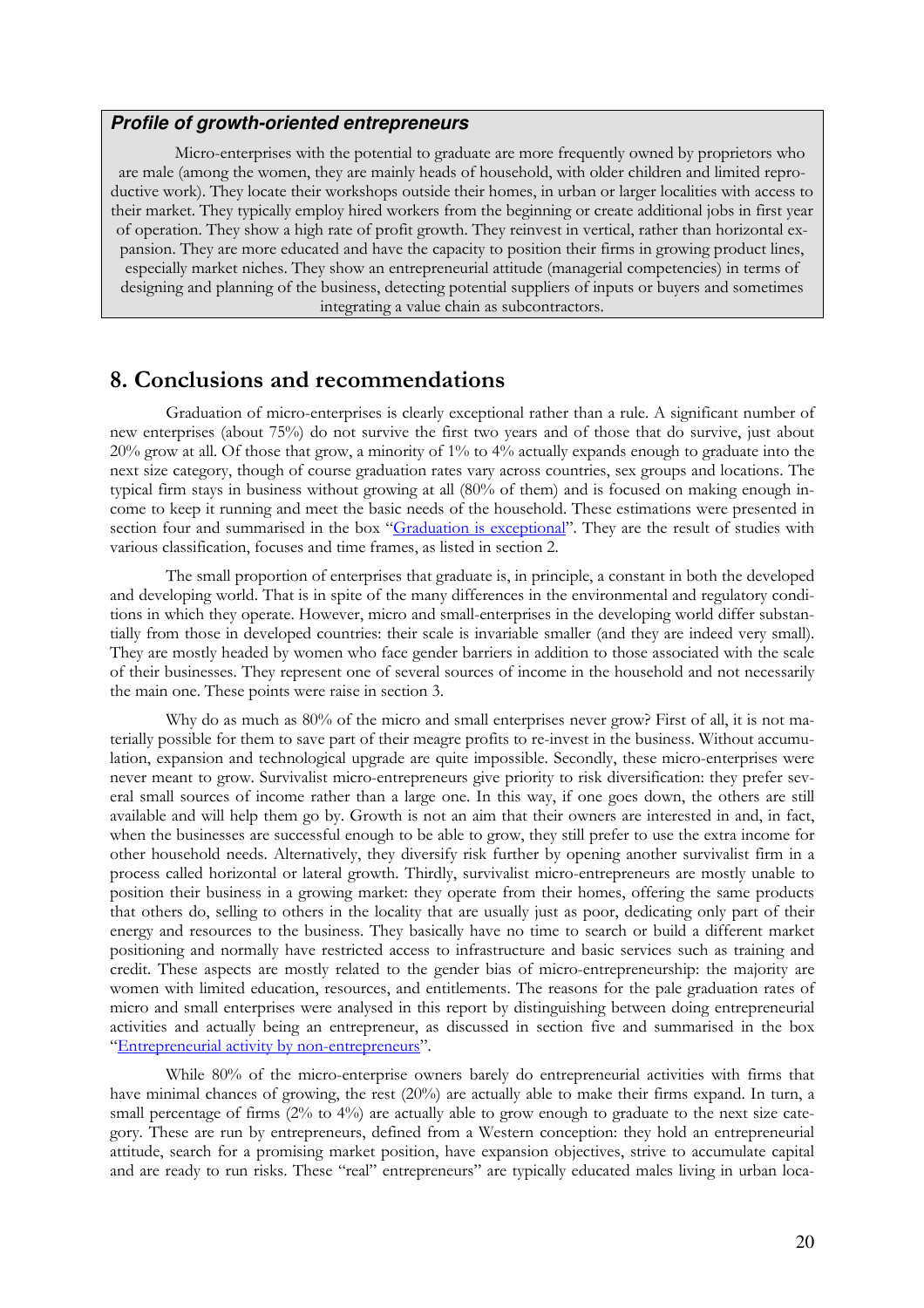#### **Profile of growth-oriented entrepreneurs**

Micro-enterprises with the potential to graduate are more frequently owned by proprietors who are male (among the women, they are mainly heads of household, with older children and limited reproductive work). They locate their workshops outside their homes, in urban or larger localities with access to their market. They typically employ hired workers from the beginning or create additional jobs in first year of operation. They show a high rate of profit growth. They reinvest in vertical, rather than horizontal expansion. They are more educated and have the capacity to position their firms in growing product lines, especially market niches. They show an entrepreneurial attitude (managerial competencies) in terms of designing and planning of the business, detecting potential suppliers of inputs or buyers and sometimes integrating a value chain as subcontractors.

### 8. Conclusions and recommendations

Graduation of micro-enterprises is clearly exceptional rather than a rule. A significant number of new enterprises (about 75%) do not survive the first two years and of those that do survive, just about 20% grow at all. Of those that grow, a minority of 1% to 4% actually expands enough to graduate into the next size category, though of course graduation rates vary across countries, sex groups and locations. The typical firm stays in business without growing at all (80% of them) and is focused on making enough income to keep it running and meet the basic needs of the household. These estimations were presented in section four and summarised in the box "Graduation is exceptional". They are the result of studies with various classification, focuses and time frames, as listed in section 2.

The small proportion of enterprises that graduate is, in principle, a constant in both the developed and developing world. That is in spite of the many differences in the environmental and regulatory conditions in which they operate. However, micro and small-enterprises in the developing world differ substantially from those in developed countries: their scale is invariable smaller (and they are indeed very small). They are mostly headed by women who face gender barriers in addition to those associated with the scale of their businesses. They represent one of several sources of income in the household and not necessarily the main one. These points were raise in section 3.

Why do as much as 80% of the micro and small enterprises never grow? First of all, it is not materially possible for them to save part of their meagre profits to re-invest in the business. Without accumulation, expansion and technological upgrade are quite impossible. Secondly, these micro-enterprises were never meant to grow. Survivalist micro-entrepreneurs give priority to risk diversification: they prefer several small sources of income rather than a large one. In this way, if one goes down, the others are still available and will help them go by. Growth is not an aim that their owners are interested in and, in fact, when the businesses are successful enough to be able to grow, they still prefer to use the extra income for other household needs. Alternatively, they diversify risk further by opening another survivalist firm in a process called horizontal or lateral growth. Thirdly, survivalist micro-entrepreneurs are mostly unable to position their business in a growing market: they operate from their homes, offering the same products that others do, selling to others in the locality that are usually just as poor, dedicating only part of their energy and resources to the business. They basically have no time to search or build a different market positioning and normally have restricted access to infrastructure and basic services such as training and credit. These aspects are mostly related to the gender bias of micro-entrepreneurship: the majority are women with limited education, resources, and entitlements. The reasons for the pale graduation rates of micro and small enterprises were analysed in this report by distinguishing between doing entrepreneurial activities and actually being an entrepreneur, as discussed in section five and summarised in the box "Entrepreneurial activity by non-entrepreneurs".

While 80% of the micro-enterprise owners barely do entrepreneurial activities with firms that have minimal chances of growing, the rest (20%) are actually able to make their firms expand. In turn, a small percentage of firms (2% to 4%) are actually able to grow enough to graduate to the next size category. These are run by entrepreneurs, defined from a Western conception: they hold an entrepreneurial attitude, search for a promising market position, have expansion objectives, strive to accumulate capital and are ready to run risks. These "real" entrepreneurs" are typically educated males living in urban loca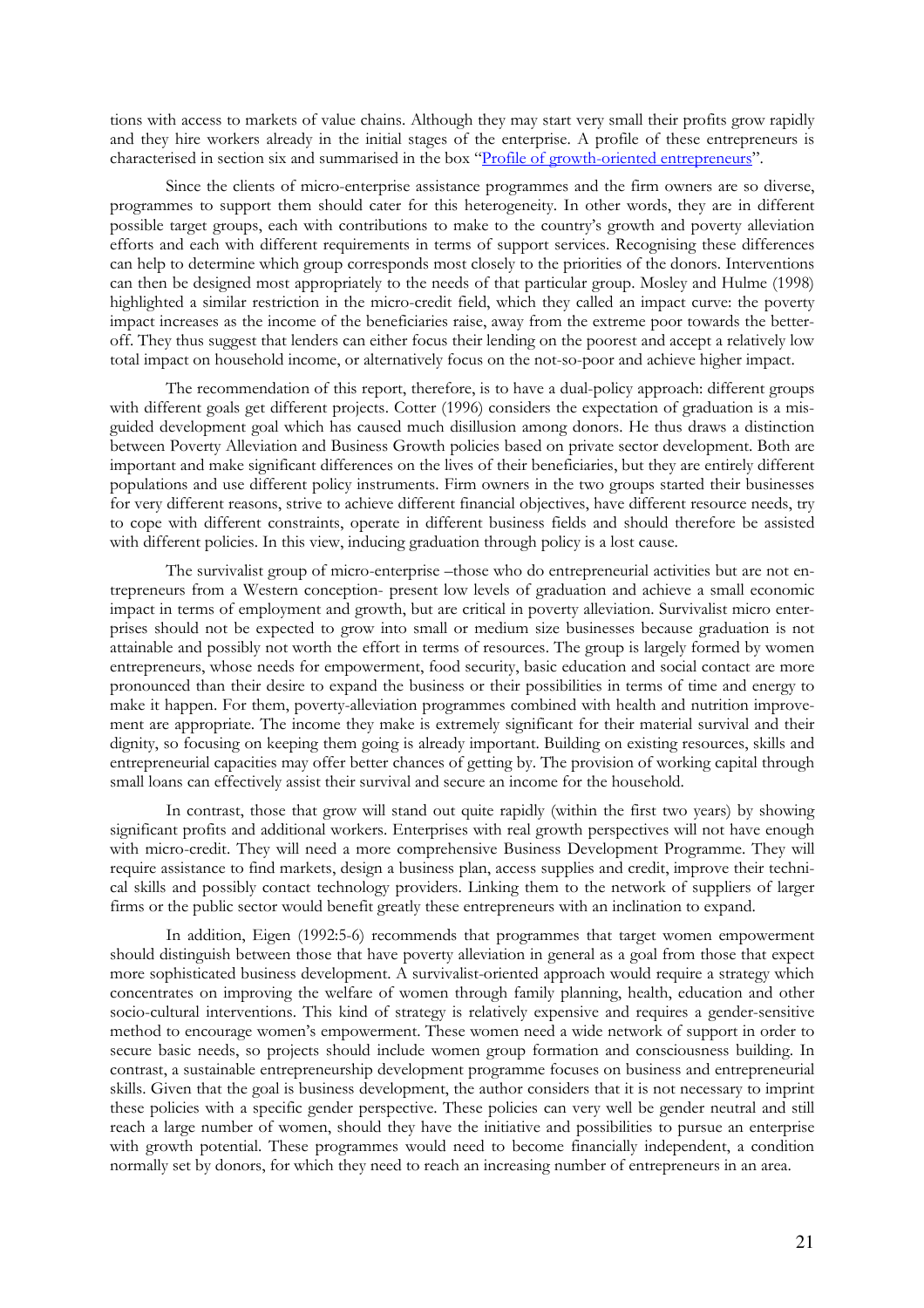tions with access to markets of value chains. Although they may start very small their profits grow rapidly and they hire workers already in the initial stages of the enterprise. A profile of these entrepreneurs is characterised in section six and summarised in the box "Profile of growth-oriented entrepreneurs".

Since the clients of micro-enterprise assistance programmes and the firm owners are so diverse, programmes to support them should cater for this heterogeneity. In other words, they are in different possible target groups, each with contributions to make to the country's growth and poverty alleviation efforts and each with different requirements in terms of support services. Recognising these differences can help to determine which group corresponds most closely to the priorities of the donors. Interventions can then be designed most appropriately to the needs of that particular group. Mosley and Hulme (1998) highlighted a similar restriction in the micro-credit field, which they called an impact curve: the poverty impact increases as the income of the beneficiaries raise, away from the extreme poor towards the betteroff. They thus suggest that lenders can either focus their lending on the poorest and accept a relatively low total impact on household income, or alternatively focus on the not-so-poor and achieve higher impact.

The recommendation of this report, therefore, is to have a dual-policy approach: different groups with different goals get different projects. Cotter (1996) considers the expectation of graduation is a misguided development goal which has caused much disillusion among donors. He thus draws a distinction between Poverty Alleviation and Business Growth policies based on private sector development. Both are important and make significant differences on the lives of their beneficiaries, but they are entirely different populations and use different policy instruments. Firm owners in the two groups started their businesses for very different reasons, strive to achieve different financial objectives, have different resource needs, try to cope with different constraints, operate in different business fields and should therefore be assisted with different policies. In this view, inducing graduation through policy is a lost cause.

The survivalist group of micro-enterprise –those who do entrepreneurial activities but are not entrepreneurs from a Western conception- present low levels of graduation and achieve a small economic impact in terms of employment and growth, but are critical in poverty alleviation. Survivalist micro enterprises should not be expected to grow into small or medium size businesses because graduation is not attainable and possibly not worth the effort in terms of resources. The group is largely formed by women entrepreneurs, whose needs for empowerment, food security, basic education and social contact are more pronounced than their desire to expand the business or their possibilities in terms of time and energy to make it happen. For them, poverty-alleviation programmes combined with health and nutrition improvement are appropriate. The income they make is extremely significant for their material survival and their dignity, so focusing on keeping them going is already important. Building on existing resources, skills and entrepreneurial capacities may offer better chances of getting by. The provision of working capital through small loans can effectively assist their survival and secure an income for the household.

In contrast, those that grow will stand out quite rapidly (within the first two years) by showing significant profits and additional workers. Enterprises with real growth perspectives will not have enough with micro-credit. They will need a more comprehensive Business Development Programme. They will require assistance to find markets, design a business plan, access supplies and credit, improve their technical skills and possibly contact technology providers. Linking them to the network of suppliers of larger firms or the public sector would benefit greatly these entrepreneurs with an inclination to expand.

In addition, Eigen (1992:5-6) recommends that programmes that target women empowerment should distinguish between those that have poverty alleviation in general as a goal from those that expect more sophisticated business development. A survivalist-oriented approach would require a strategy which concentrates on improving the welfare of women through family planning, health, education and other socio-cultural interventions. This kind of strategy is relatively expensive and requires a gender-sensitive method to encourage women's empowerment. These women need a wide network of support in order to secure basic needs, so projects should include women group formation and consciousness building. In contrast, a sustainable entrepreneurship development programme focuses on business and entrepreneurial skills. Given that the goal is business development, the author considers that it is not necessary to imprint these policies with a specific gender perspective. These policies can very well be gender neutral and still reach a large number of women, should they have the initiative and possibilities to pursue an enterprise with growth potential. These programmes would need to become financially independent, a condition normally set by donors, for which they need to reach an increasing number of entrepreneurs in an area.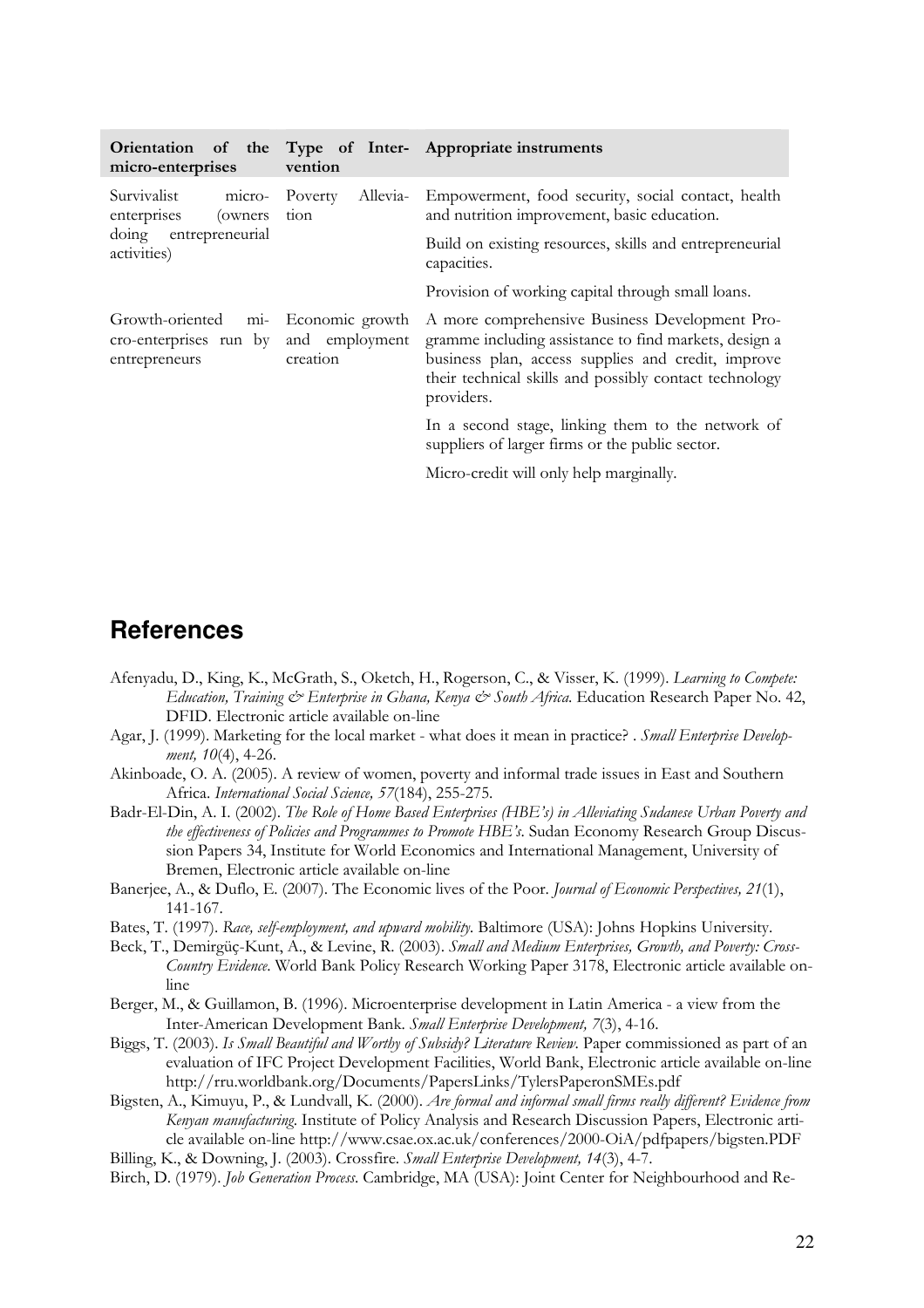| micro-enterprises                                                                                                       | vention                                                                                                                                                                                                                               | Orientation of the Type of Inter- Appropriate instruments |
|-------------------------------------------------------------------------------------------------------------------------|---------------------------------------------------------------------------------------------------------------------------------------------------------------------------------------------------------------------------------------|-----------------------------------------------------------|
| Survivalist<br>Allevia-<br>micro-<br>Poverty<br>enterprises<br>(owners)<br>tion<br>doing entrepreneurial<br>activities) | Empowerment, food security, social contact, health<br>and nutrition improvement, basic education.<br>Build on existing resources, skills and entrepreneurial<br>capacities.                                                           |                                                           |
|                                                                                                                         |                                                                                                                                                                                                                                       | Provision of working capital through small loans.         |
| Growth-oriented mi- Economic growth<br>and employment<br>cro-enterprises run by<br>creation<br>entrepreneurs            | A more comprehensive Business Development Pro-<br>gramme including assistance to find markets, design a<br>business plan, access supplies and credit, improve<br>their technical skills and possibly contact technology<br>providers. |                                                           |
|                                                                                                                         | In a second stage, linking them to the network of<br>suppliers of larger firms or the public sector.                                                                                                                                  |                                                           |
|                                                                                                                         |                                                                                                                                                                                                                                       | Micro-credit will only help marginally.                   |

# **References**

- Afenyadu, D., King, K., McGrath, S., Oketch, H., Rogerson, C., & Visser, K. (1999). Learning to Compete: Education, Training & Enterprise in Ghana, Kenya & South Africa. Education Research Paper No. 42, DFID. Electronic article available on-line
- Agar, J. (1999). Marketing for the local market what does it mean in practice? . Small Enterprise Development, 10(4), 4-26.
- Akinboade, O. A. (2005). A review of women, poverty and informal trade issues in East and Southern Africa. International Social Science, 57(184), 255-275.
- Badr-El-Din, A. I. (2002). The Role of Home Based Enterprises (HBE's) in Alleviating Sudanese Urban Poverty and the effectiveness of Policies and Programmes to Promote HBE's. Sudan Economy Research Group Discussion Papers 34, Institute for World Economics and International Management, University of Bremen, Electronic article available on-line
- Banerjee, A., & Duflo, E. (2007). The Economic lives of the Poor. *Journal of Economic Perspectives*, 21(1), 141-167.
- Bates, T. (1997). Race, self-employment, and upward mobility. Baltimore (USA): Johns Hopkins University.
- Beck, T., Demirgüç-Kunt, A., & Levine, R. (2003). Small and Medium Enterprises, Growth, and Poverty: Cross-Country Evidence. World Bank Policy Research Working Paper 3178, Electronic article available online
- Berger, M., & Guillamon, B. (1996). Microenterprise development in Latin America a view from the Inter-American Development Bank. Small Enterprise Development, 7(3), 4-16.
- Biggs, T. (2003). Is Small Beautiful and Worthy of Subsidy? Literature Review. Paper commissioned as part of an evaluation of IFC Project Development Facilities, World Bank, Electronic article available on-line http://rru.worldbank.org/Documents/PapersLinks/TylersPaperonSMEs.pdf
- Bigsten, A., Kimuyu, P., & Lundvall, K. (2000). Are formal and informal small firms really different? Evidence from Kenyan manufacturing. Institute of Policy Analysis and Research Discussion Papers, Electronic article available on-line http://www.csae.ox.ac.uk/conferences/2000-OiA/pdfpapers/bigsten.PDF
- Billing, K., & Downing, J. (2003). Crossfire. Small Enterprise Development, 14(3), 4-7.
- Birch, D. (1979). Job Generation Process. Cambridge, MA (USA): Joint Center for Neighbourhood and Re-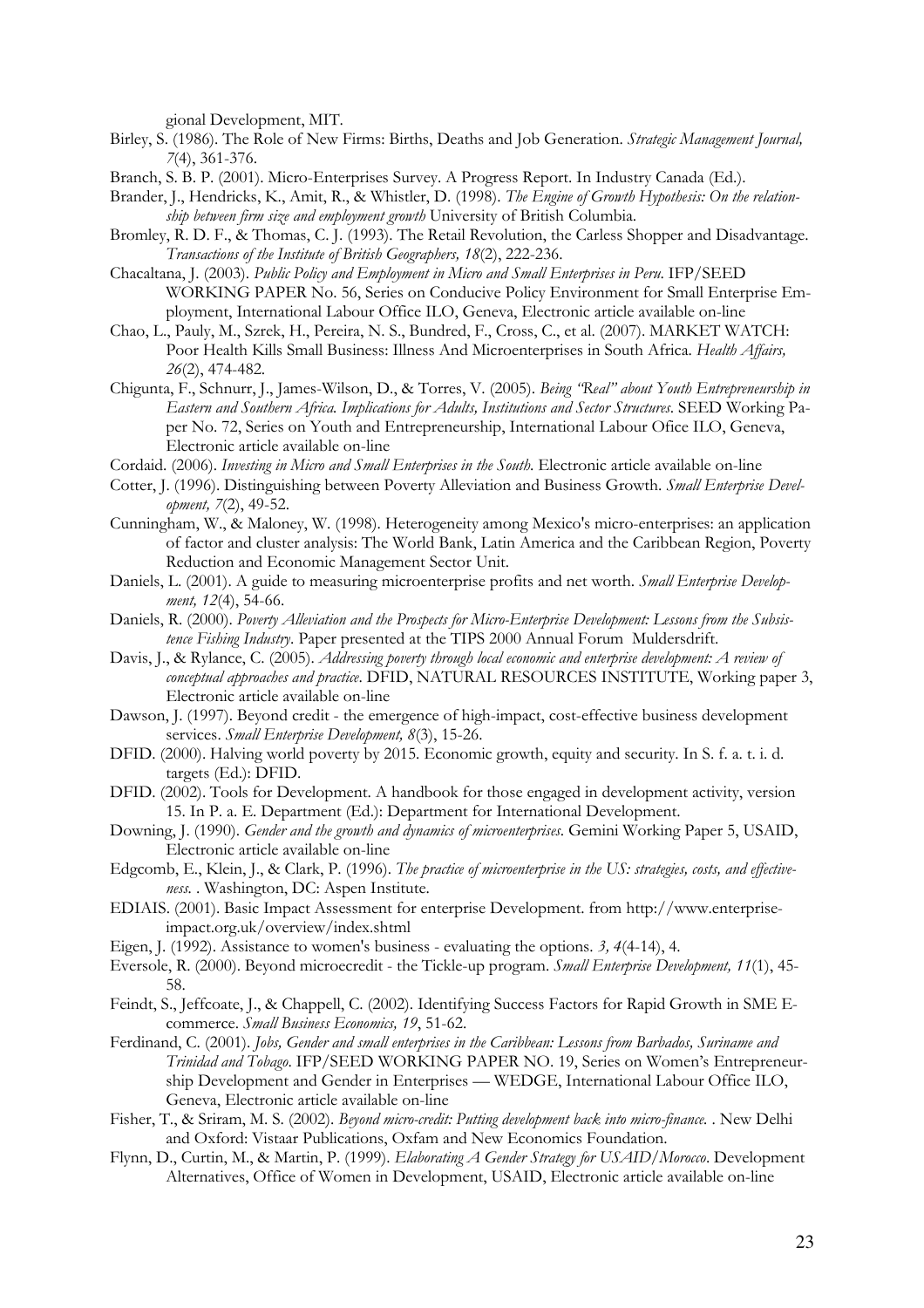gional Development, MIT.

- Birley, S. (1986). The Role of New Firms: Births, Deaths and Job Generation. Strategic Management Journal, 7(4), 361-376.
- Branch, S. B. P. (2001). Micro-Enterprises Survey. A Progress Report. In Industry Canada (Ed.).
- Brander, J., Hendricks, K., Amit, R., & Whistler, D. (1998). The Engine of Growth Hypothesis: On the relationship between firm size and employment growth University of British Columbia.
- Bromley, R. D. F., & Thomas, C. J. (1993). The Retail Revolution, the Carless Shopper and Disadvantage. Transactions of the Institute of British Geographers, 18(2), 222-236.
- Chacaltana, J. (2003). Public Policy and Employment in Micro and Small Enterprises in Peru. IFP/SEED WORKING PAPER No. 56, Series on Conducive Policy Environment for Small Enterprise Employment, International Labour Office ILO, Geneva, Electronic article available on-line
- Chao, L., Pauly, M., Szrek, H., Pereira, N. S., Bundred, F., Cross, C., et al. (2007). MARKET WATCH: Poor Health Kills Small Business: Illness And Microenterprises in South Africa. Health Affairs, 26(2), 474-482.
- Chigunta, F., Schnurr, J., James-Wilson, D., & Torres, V. (2005). Being "Real" about Youth Entrepreneurship in Eastern and Southern Africa. Implications for Adults, Institutions and Sector Structures. SEED Working Paper No. 72, Series on Youth and Entrepreneurship, International Labour Ofice ILO, Geneva, Electronic article available on-line
- Cordaid. (2006). Investing in Micro and Small Enterprises in the South. Electronic article available on-line
- Cotter, J. (1996). Distinguishing between Poverty Alleviation and Business Growth. *Small Enterprise Devel*opment, 7(2), 49-52.
- Cunningham, W., & Maloney, W. (1998). Heterogeneity among Mexico's micro-enterprises: an application of factor and cluster analysis: The World Bank, Latin America and the Caribbean Region, Poverty Reduction and Economic Management Sector Unit.
- Daniels, L. (2001). A guide to measuring microenterprise profits and net worth. Small Enterprise Development, 12(4), 54-66.
- Daniels, R. (2000). Poverty Alleviation and the Prospects for Micro-Enterprise Development: Lessons from the Subsistence Fishing Industry. Paper presented at the TIPS 2000 Annual Forum Muldersdrift.
- Davis, J., & Rylance, C. (2005). Addressing poverty through local economic and enterprise development: A review of conceptual approaches and practice. DFID, NATURAL RESOURCES INSTITUTE, Working paper 3, Electronic article available on-line
- Dawson, J. (1997). Beyond credit the emergence of high-impact, cost-effective business development services. Small Enterprise Development, 8(3), 15-26.
- DFID. (2000). Halving world poverty by 2015. Economic growth, equity and security. In S. f. a. t. i. d. targets (Ed.): DFID.
- DFID. (2002). Tools for Development. A handbook for those engaged in development activity, version 15. In P. a. E. Department (Ed.): Department for International Development.
- Downing, J. (1990). Gender and the growth and dynamics of microenterprises. Gemini Working Paper 5, USAID, Electronic article available on-line
- Edgcomb, E., Klein, J., & Clark, P. (1996). The practice of microenterprise in the US: strategies, costs, and effectiveness. . Washington, DC: Aspen Institute.
- EDIAIS. (2001). Basic Impact Assessment for enterprise Development. from http://www.enterpriseimpact.org.uk/overview/index.shtml
- Eigen, J. (1992). Assistance to women's business evaluating the options.  $3, 4(4-14)$ , 4.
- Eversole, R. (2000). Beyond microecredit the Tickle-up program. Small Enterprise Development, 11(1), 45- 58.
- Feindt, S., Jeffcoate, J., & Chappell, C. (2002). Identifying Success Factors for Rapid Growth in SME Ecommerce. Small Business Economics, 19, 51-62.
- Ferdinand, C. (2001). Jobs, Gender and small enterprises in the Caribbean: Lessons from Barbados, Suriname and Trinidad and Tobago. IFP/SEED WORKING PAPER NO. 19, Series on Women's Entrepreneurship Development and Gender in Enterprises — WEDGE, International Labour Office ILO, Geneva, Electronic article available on-line
- Fisher, T., & Sriram, M. S. (2002). Beyond micro-credit: Putting development back into micro-finance. . New Delhi and Oxford: Vistaar Publications, Oxfam and New Economics Foundation.
- Flynn, D., Curtin, M., & Martin, P. (1999). Elaborating A Gender Strategy for USAID/Morocco. Development Alternatives, Office of Women in Development, USAID, Electronic article available on-line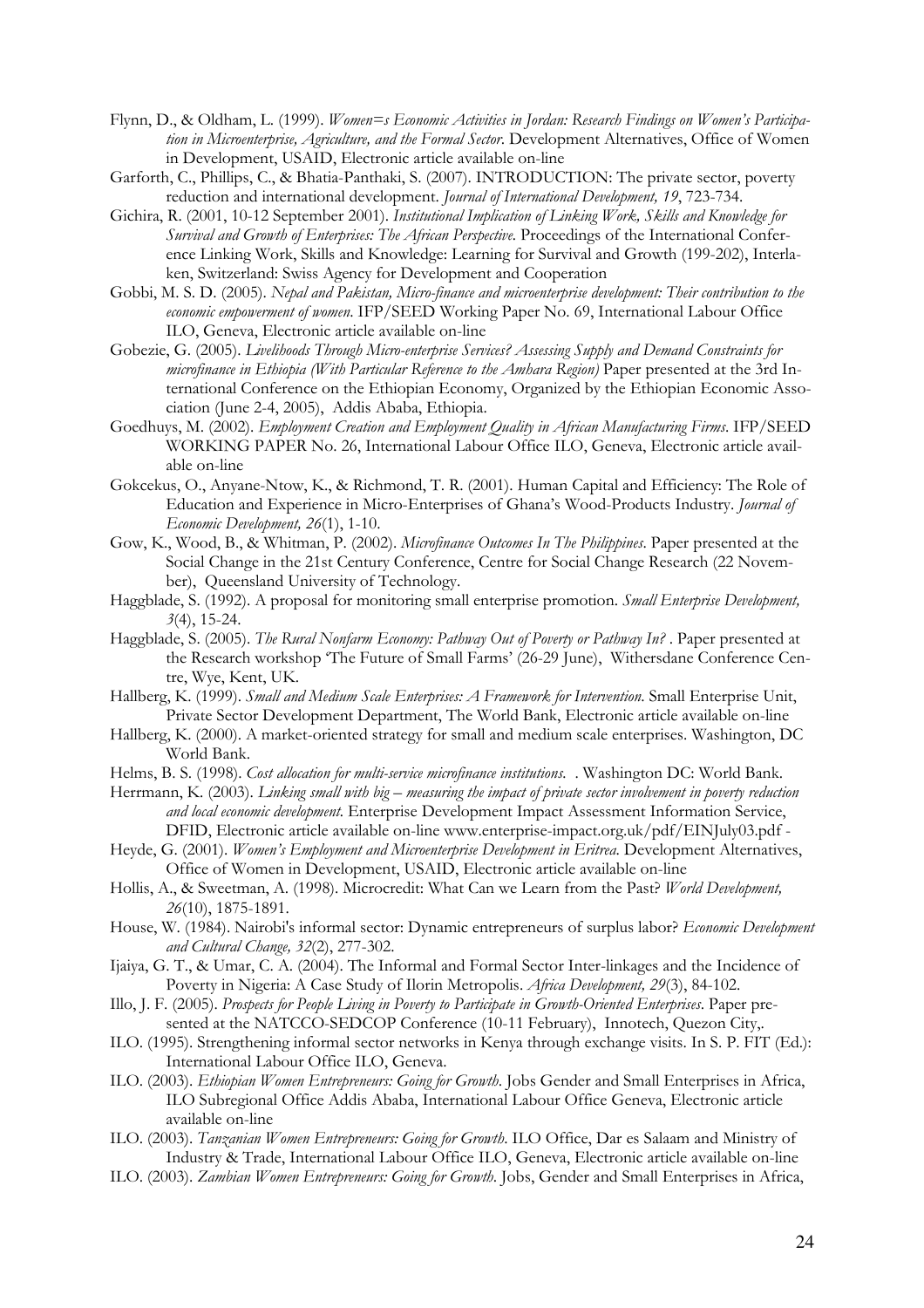- Flynn, D., & Oldham, L. (1999). Women=s Economic Activities in Jordan: Research Findings on Women's Participation in Microenterprise, Agriculture, and the Formal Sector. Development Alternatives, Office of Women in Development, USAID, Electronic article available on-line
- Garforth, C., Phillips, C., & Bhatia-Panthaki, S. (2007). INTRODUCTION: The private sector, poverty reduction and international development. Journal of International Development, 19, 723-734.
- Gichira, R. (2001, 10-12 September 2001). Institutional Implication of Linking Work, Skills and Knowledge for Survival and Growth of Enterprises: The African Perspective. Proceedings of the International Conference Linking Work, Skills and Knowledge: Learning for Survival and Growth (199-202), Interlaken, Switzerland: Swiss Agency for Development and Cooperation
- Gobbi, M. S. D. (2005). Nepal and Pakistan, Micro-finance and microenterprise development: Their contribution to the economic empowerment of women. IFP/SEED Working Paper No. 69, International Labour Office ILO, Geneva, Electronic article available on-line
- Gobezie, G. (2005). Livelihoods Through Micro-enterprise Services? Assessing Supply and Demand Constraints for microfinance in Ethiopia (With Particular Reference to the Amhara Region) Paper presented at the 3rd International Conference on the Ethiopian Economy, Organized by the Ethiopian Economic Association (June 2-4, 2005), Addis Ababa, Ethiopia.
- Goedhuys, M. (2002). Employment Creation and Employment Quality in African Manufacturing Firms. IFP/SEED WORKING PAPER No. 26, International Labour Office ILO, Geneva, Electronic article available on-line
- Gokcekus, O., Anyane-Ntow, K., & Richmond, T. R. (2001). Human Capital and Efficiency: The Role of Education and Experience in Micro-Enterprises of Ghana's Wood-Products Industry. Journal of Economic Development, 26(1), 1-10.
- Gow, K., Wood, B., & Whitman, P. (2002). Microfinance Outcomes In The Philippines. Paper presented at the Social Change in the 21st Century Conference, Centre for Social Change Research (22 November), Queensland University of Technology.
- Haggblade, S. (1992). A proposal for monitoring small enterprise promotion. Small Enterprise Development,  $3(4)$ , 15-24.
- Haggblade, S. (2005). The Rural Nonfarm Economy: Pathway Out of Poverty or Pathway In? . Paper presented at the Research workshop 'The Future of Small Farms' (26-29 June), Withersdane Conference Centre, Wye, Kent, UK.
- Hallberg, K. (1999). Small and Medium Scale Enterprises: A Framework for Intervention. Small Enterprise Unit, Private Sector Development Department, The World Bank, Electronic article available on-line
- Hallberg, K. (2000). A market-oriented strategy for small and medium scale enterprises. Washington, DC World Bank.
- Helms, B. S. (1998). Cost allocation for multi-service microfinance institutions. . Washington DC: World Bank.
- Herrmann, K. (2003). Linking small with big measuring the impact of private sector involvement in poverty reduction and local economic development. Enterprise Development Impact Assessment Information Service, DFID, Electronic article available on-line www.enterprise-impact.org.uk/pdf/EINJuly03.pdf -
- Heyde, G. (2001). Women's Employment and Microenterprise Development in Eritrea. Development Alternatives, Office of Women in Development, USAID, Electronic article available on-line
- Hollis, A., & Sweetman, A. (1998). Microcredit: What Can we Learn from the Past? World Development, 26(10), 1875-1891.
- House, W. (1984). Nairobi's informal sector: Dynamic entrepreneurs of surplus labor? Economic Development and Cultural Change, 32(2), 277-302.
- Ijaiya, G. T., & Umar, C. A. (2004). The Informal and Formal Sector Inter-linkages and the Incidence of Poverty in Nigeria: A Case Study of Ilorin Metropolis. Africa Development, 29(3), 84-102.
- Illo, J. F. (2005). Prospects for People Living in Poverty to Participate in Growth-Oriented Enterprises. Paper presented at the NATCCO-SEDCOP Conference (10-11 February), Innotech, Quezon City,.
- ILO. (1995). Strengthening informal sector networks in Kenya through exchange visits. In S. P. FIT (Ed.): International Labour Office ILO, Geneva.
- ILO. (2003). Ethiopian Women Entrepreneurs: Going for Growth. Jobs Gender and Small Enterprises in Africa, ILO Subregional Office Addis Ababa, International Labour Office Geneva, Electronic article available on-line
- ILO. (2003). Tanzanian Women Entrepreneurs: Going for Growth. ILO Office, Dar es Salaam and Ministry of Industry & Trade, International Labour Office ILO, Geneva, Electronic article available on-line
- ILO. (2003). Zambian Women Entrepreneurs: Going for Growth. Jobs, Gender and Small Enterprises in Africa,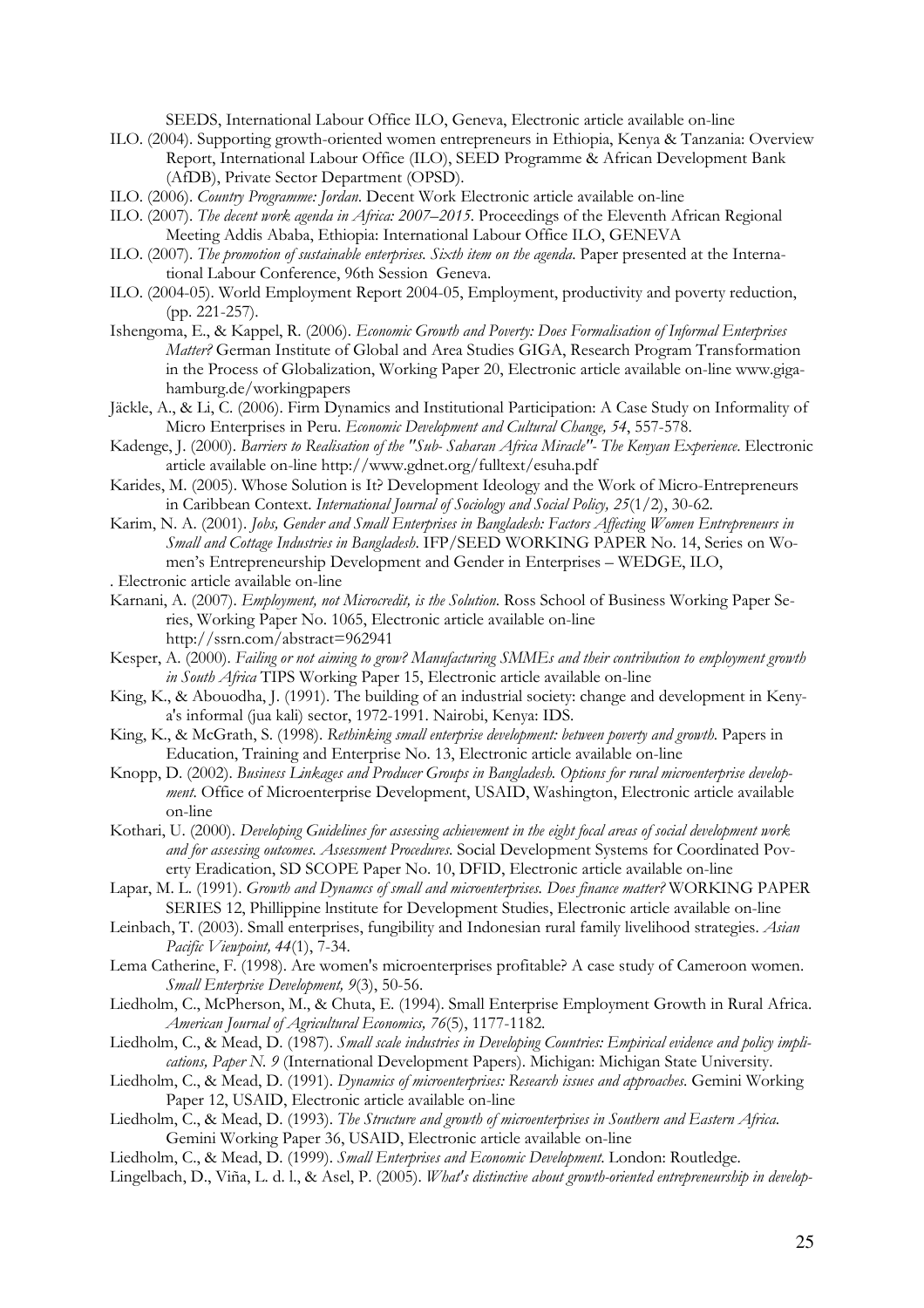SEEDS, International Labour Office ILO, Geneva, Electronic article available on-line

- ILO. (2004). Supporting growth-oriented women entrepreneurs in Ethiopia, Kenya & Tanzania: Overview Report, International Labour Office (ILO), SEED Programme & African Development Bank (AfDB), Private Sector Department (OPSD).
- ILO. (2006). Country Programme: Jordan. Decent Work Electronic article available on-line
- ILO. (2007). The decent work agenda in Africa: 2007–2015. Proceedings of the Eleventh African Regional Meeting Addis Ababa, Ethiopia: International Labour Office ILO, GENEVA
- ILO. (2007). The promotion of sustainable enterprises. Sixth item on the agenda. Paper presented at the International Labour Conference, 96th Session Geneva.
- ILO. (2004-05). World Employment Report 2004-05, Employment, productivity and poverty reduction, (pp. 221-257).
- Ishengoma, E., & Kappel, R. (2006). Economic Growth and Poverty: Does Formalisation of Informal Enterprises Matter? German Institute of Global and Area Studies GIGA, Research Program Transformation in the Process of Globalization, Working Paper 20, Electronic article available on-line www.gigahamburg.de/workingpapers
- Jäckle, A., & Li, C. (2006). Firm Dynamics and Institutional Participation: A Case Study on Informality of Micro Enterprises in Peru. Economic Development and Cultural Change, 54, 557-578.
- Kadenge, J. (2000). Barriers to Realisation of the "Sub- Saharan Africa Miracle"- The Kenyan Experience. Electronic article available on-line http://www.gdnet.org/fulltext/esuha.pdf
- Karides, M. (2005). Whose Solution is It? Development Ideology and the Work of Micro-Entrepreneurs in Caribbean Context. International Journal of Sociology and Social Policy, 25(1/2), 30-62.
- Karim, N. A. (2001). Jobs, Gender and Small Enterprises in Bangladesh: Factors Affecting Women Entrepreneurs in Small and Cottage Industries in Bangladesh. IFP/SEED WORKING PAPER No. 14, Series on Women's Entrepreneurship Development and Gender in Enterprises – WEDGE, ILO,
- . Electronic article available on-line
- Karnani, A. (2007). Employment, not Microcredit, is the Solution. Ross School of Business Working Paper Series, Working Paper No. 1065, Electronic article available on-line http://ssrn.com/abstract=962941
- Kesper, A. (2000). Failing or not aiming to grow? Manufacturing SMMEs and their contribution to employment growth in South Africa TIPS Working Paper 15, Electronic article available on-line
- King, K., & Abouodha, J. (1991). The building of an industrial society: change and development in Kenya's informal (jua kali) sector, 1972-1991. Nairobi, Kenya: IDS.
- King, K., & McGrath, S. (1998). Rethinking small enterprise development: between poverty and growth. Papers in Education, Training and Enterprise No. 13, Electronic article available on-line
- Knopp, D. (2002). Business Linkages and Producer Groups in Bangladesh. Options for rural microenterprise development. Office of Microenterprise Development, USAID, Washington, Electronic article available on-line
- Kothari, U. (2000). Developing Guidelines for assessing achievement in the eight focal areas of social development work and for assessing outcomes. Assessment Procedures. Social Development Systems for Coordinated Poverty Eradication, SD SCOPE Paper No. 10, DFID, Electronic article available on-line
- Lapar, M. L. (1991). Growth and Dynamcs of small and microenterprises. Does finance matter? WORKING PAPER SERIES 12, Phillippine lnstitute for Development Studies, Electronic article available on-line
- Leinbach, T. (2003). Small enterprises, fungibility and Indonesian rural family livelihood strategies. Asian Pacific Viewpoint, 44(1), 7-34.
- Lema Catherine, F. (1998). Are women's microenterprises profitable? A case study of Cameroon women. Small Enterprise Development, 9(3), 50-56.
- Liedholm, C., McPherson, M., & Chuta, E. (1994). Small Enterprise Employment Growth in Rural Africa. American Journal of Agricultural Economics, 76(5), 1177-1182.
- Liedholm, C., & Mead, D. (1987). Small scale industries in Developing Countries: Empirical evidence and policy implications, Paper N. 9 (International Development Papers). Michigan: Michigan State University.
- Liedholm, C., & Mead, D. (1991). Dynamics of microenterprises: Research issues and approaches. Gemini Working Paper 12, USAID, Electronic article available on-line
- Liedholm, C., & Mead, D. (1993). The Structure and growth of microenterprises in Southern and Eastern Africa. Gemini Working Paper 36, USAID, Electronic article available on-line
- Liedholm, C., & Mead, D. (1999). Small Enterprises and Economic Development. London: Routledge.
- Lingelbach, D., Viña, L. d. l., & Asel, P. (2005). What's distinctive about growth-oriented entrepreneurship in develop-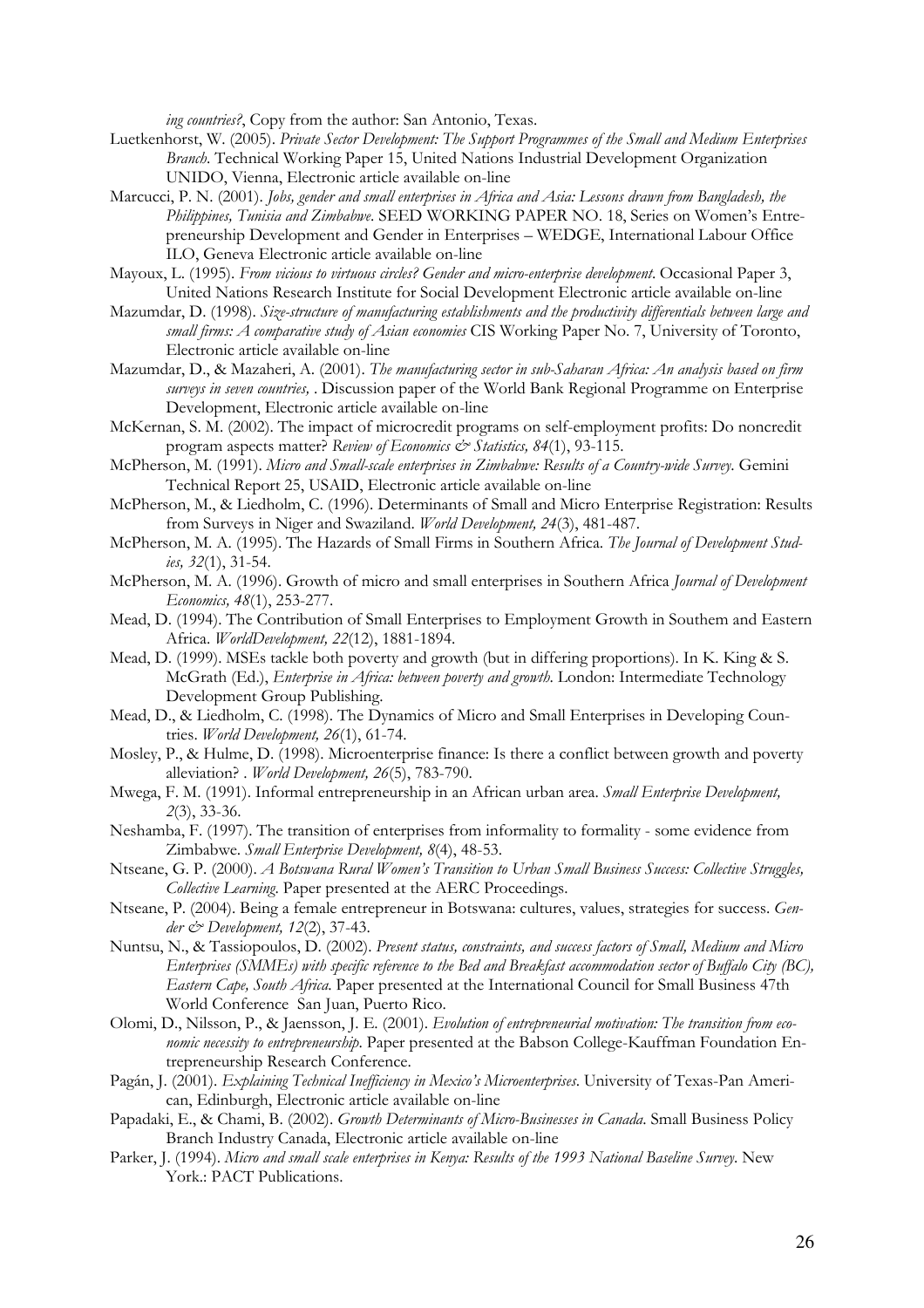ing countries?, Copy from the author: San Antonio, Texas.

- Luetkenhorst, W. (2005). Private Sector Development: The Support Programmes of the Small and Medium Enterprises Branch. Technical Working Paper 15, United Nations Industrial Development Organization UNIDO, Vienna, Electronic article available on-line
- Marcucci, P. N. (2001). Jobs, gender and small enterprises in Africa and Asia: Lessons drawn from Bangladesh, the Philippines, Tunisia and Zimbabwe. SEED WORKING PAPER NO. 18, Series on Women's Entrepreneurship Development and Gender in Enterprises – WEDGE, International Labour Office ILO, Geneva Electronic article available on-line
- Mayoux, L. (1995). From vicious to virtuous circles? Gender and micro-enterprise development. Occasional Paper 3, United Nations Research Institute for Social Development Electronic article available on-line
- Mazumdar, D. (1998). Size-structure of manufacturing establishments and the productivity differentials between large and small firms: A comparative study of Asian economies CIS Working Paper No. 7, University of Toronto, Electronic article available on-line
- Mazumdar, D., & Mazaheri, A. (2001). The manufacturing sector in sub-Saharan Africa: An analysis based on firm surveys in seven countries, . Discussion paper of the World Bank Regional Programme on Enterprise Development, Electronic article available on-line
- McKernan, S. M. (2002). The impact of microcredit programs on self-employment profits: Do noncredit program aspects matter? Review of Economics & Statistics, 84(1), 93-115.
- McPherson, M. (1991). Micro and Small-scale enterprises in Zimbabwe: Results of a Country-wide Survey. Gemini Technical Report 25, USAID, Electronic article available on-line
- McPherson, M., & Liedholm, C. (1996). Determinants of Small and Micro Enterprise Registration: Results from Surveys in Niger and Swaziland. World Development, 24(3), 481-487.
- McPherson, M. A. (1995). The Hazards of Small Firms in Southern Africa. The Journal of Development Studies, 32(1), 31-54.
- McPherson, M. A. (1996). Growth of micro and small enterprises in Southern Africa Journal of Development Economics, 48(1), 253-277.
- Mead, D. (1994). The Contribution of Small Enterprises to Employment Growth in Southem and Eastern Africa. WorldDevelopment, 22(12), 1881-1894.
- Mead, D. (1999). MSEs tackle both poverty and growth (but in differing proportions). In K. King & S. McGrath (Ed.), *Enterprise in Africa: between poverty and growth*. London: Intermediate Technology Development Group Publishing.
- Mead, D., & Liedholm, C. (1998). The Dynamics of Micro and Small Enterprises in Developing Countries. World Development, 26(1), 61-74.
- Mosley, P., & Hulme, D. (1998). Microenterprise finance: Is there a conflict between growth and poverty alleviation? . World Development,  $26(5)$ , 783-790.
- Mwega, F. M. (1991). Informal entrepreneurship in an African urban area. Small Enterprise Development, 2(3), 33-36.
- Neshamba, F. (1997). The transition of enterprises from informality to formality some evidence from Zimbabwe. Small Enterprise Development, 8(4), 48-53.
- Ntseane, G. P. (2000). A Botswana Rural Women's Transition to Urban Small Business Success: Collective Struggles, Collective Learning. Paper presented at the AERC Proceedings.
- Ntseane, P. (2004). Being a female entrepreneur in Botswana: cultures, values, strategies for success. Gender  $\dot{\mathcal{C}}$  Development, 12(2), 37-43.
- Nuntsu, N., & Tassiopoulos, D. (2002). Present status, constraints, and success factors of Small, Medium and Micro Enterprises (SMMEs) with specific reference to the Bed and Breakfast accommodation sector of Buffalo City (BC), Eastern Cape, South Africa. Paper presented at the International Council for Small Business 47th World Conference San Juan, Puerto Rico.
- Olomi, D., Nilsson, P., & Jaensson, J. E. (2001). Evolution of entrepreneurial motivation: The transition from economic necessity to entrepreneurship. Paper presented at the Babson College-Kauffman Foundation Entrepreneurship Research Conference.
- Pagán, J. (2001). Explaining Technical Inefficiency in Mexico's Microenterprises. University of Texas-Pan American, Edinburgh, Electronic article available on-line
- Papadaki, E., & Chami, B. (2002). Growth Determinants of Micro-Businesses in Canada. Small Business Policy Branch Industry Canada, Electronic article available on-line
- Parker, J. (1994). Micro and small scale enterprises in Kenya: Results of the 1993 National Baseline Survey. New York.: PACT Publications.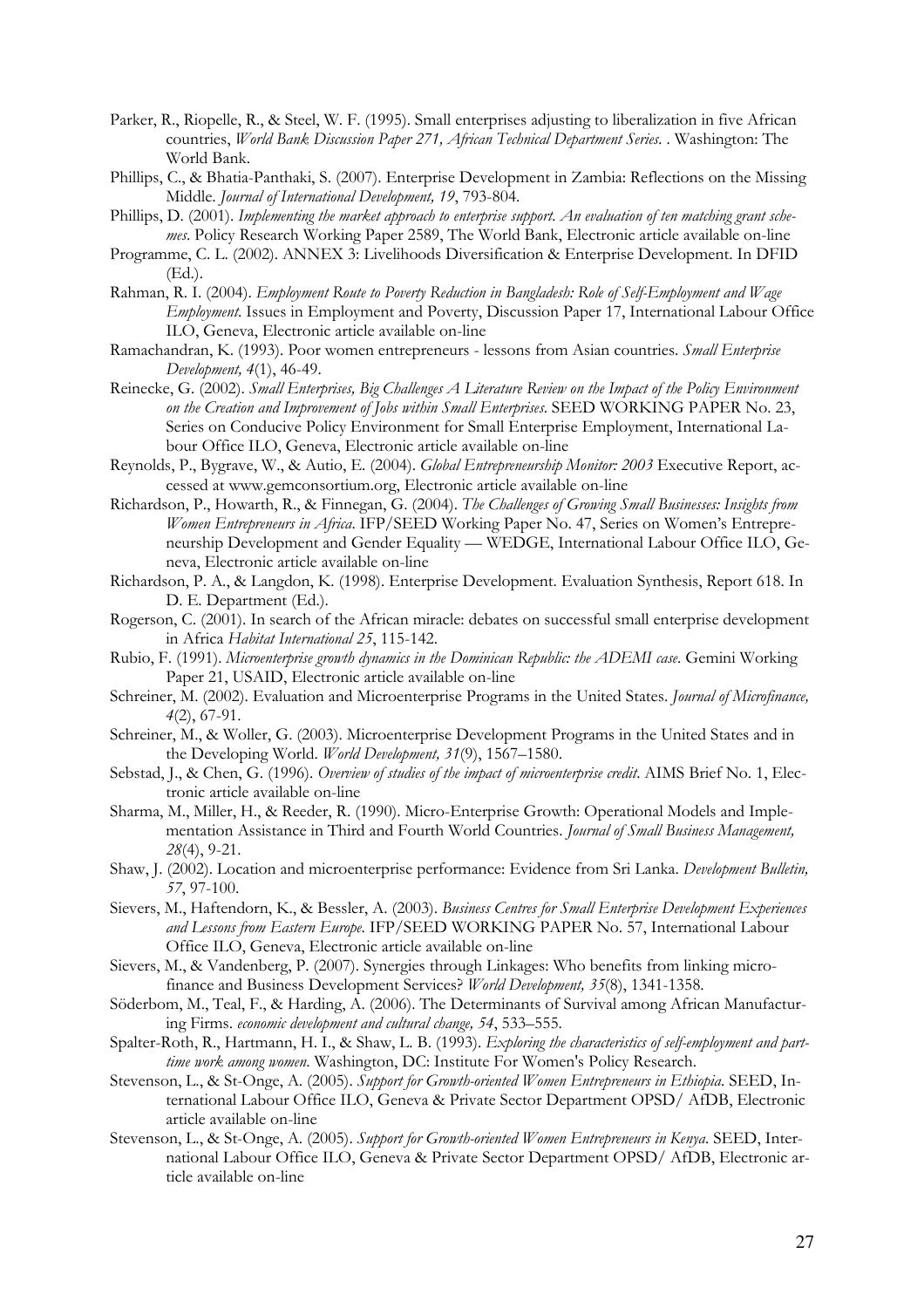- Parker, R., Riopelle, R., & Steel, W. F. (1995). Small enterprises adjusting to liberalization in five African countries, World Bank Discussion Paper 271, African Technical Department Series. . Washington: The World Bank.
- Phillips, C., & Bhatia-Panthaki, S. (2007). Enterprise Development in Zambia: Reflections on the Missing Middle. Journal of International Development, 19, 793-804.
- Phillips, D. (2001). Implementing the market approach to enterprise support. An evaluation of ten matching grant schemes. Policy Research Working Paper 2589, The World Bank, Electronic article available on-line
- Programme, C. L. (2002). ANNEX 3: Livelihoods Diversification & Enterprise Development. In DFID (Ed.).
- Rahman, R. I. (2004). Employment Route to Poverty Reduction in Bangladesh: Role of Self-Employment and Wage Employment. Issues in Employment and Poverty, Discussion Paper 17, International Labour Office ILO, Geneva, Electronic article available on-line
- Ramachandran, K. (1993). Poor women entrepreneurs lessons from Asian countries. *Small Enterprise* Development, 4(1), 46-49.
- Reinecke, G. (2002). Small Enterprises, Big Challenges A Literature Review on the Impact of the Policy Environment on the Creation and Improvement of Jobs within Small Enterprises. SEED WORKING PAPER No. 23, Series on Conducive Policy Environment for Small Enterprise Employment, International Labour Office ILO, Geneva, Electronic article available on-line
- Reynolds, P., Bygrave, W., & Autio, E. (2004). Global Entrepreneurship Monitor: 2003 Executive Report, accessed at www.gemconsortium.org, Electronic article available on-line
- Richardson, P., Howarth, R., & Finnegan, G. (2004). The Challenges of Growing Small Businesses: Insights from Women Entrepreneurs in Africa. IFP/SEED Working Paper No. 47, Series on Women's Entrepreneurship Development and Gender Equality — WEDGE, International Labour Office ILO, Geneva, Electronic article available on-line
- Richardson, P. A., & Langdon, K. (1998). Enterprise Development. Evaluation Synthesis, Report 618. In D. E. Department (Ed.).
- Rogerson, C. (2001). In search of the African miracle: debates on successful small enterprise development in Africa Habitat International 25, 115-142.
- Rubio, F. (1991). Microenterprise growth dynamics in the Dominican Republic: the ADEMI case. Gemini Working Paper 21, USAID, Electronic article available on-line
- Schreiner, M. (2002). Evaluation and Microenterprise Programs in the United States. Journal of Microfinance, 4(2), 67-91.
- Schreiner, M., & Woller, G. (2003). Microenterprise Development Programs in the United States and in the Developing World. World Development, 31(9), 1567–1580.
- Sebstad, J., & Chen, G. (1996). Overview of studies of the impact of microenterprise credit. AIMS Brief No. 1, Electronic article available on-line
- Sharma, M., Miller, H., & Reeder, R. (1990). Micro-Enterprise Growth: Operational Models and Implementation Assistance in Third and Fourth World Countries. Journal of Small Business Management, 28(4), 9-21.
- Shaw, J. (2002). Location and microenterprise performance: Evidence from Sri Lanka. Development Bulletin, 57, 97-100.
- Sievers, M., Haftendorn, K., & Bessler, A. (2003). Business Centres for Small Enterprise Development Experiences and Lessons from Eastern Europe. IFP/SEED WORKING PAPER No. 57, International Labour Office ILO, Geneva, Electronic article available on-line
- Sievers, M., & Vandenberg, P. (2007). Synergies through Linkages: Who benefits from linking microfinance and Business Development Services? World Development, 35(8), 1341-1358.
- Söderbom, M., Teal, F., & Harding, A. (2006). The Determinants of Survival among African Manufacturing Firms. economic development and cultural change, 54, 533–555.
- Spalter-Roth, R., Hartmann, H. I., & Shaw, L. B. (1993). Exploring the characteristics of self-employment and parttime work among women. Washington, DC: Institute For Women's Policy Research.
- Stevenson, L., & St-Onge, A. (2005). Support for Growth-oriented Women Entrepreneurs in Ethiopia. SEED, International Labour Office ILO, Geneva & Private Sector Department OPSD/ AfDB, Electronic article available on-line
- Stevenson, L., & St-Onge, A. (2005). Support for Growth-oriented Women Entrepreneurs in Kenya. SEED, International Labour Office ILO, Geneva & Private Sector Department OPSD/ AfDB, Electronic article available on-line